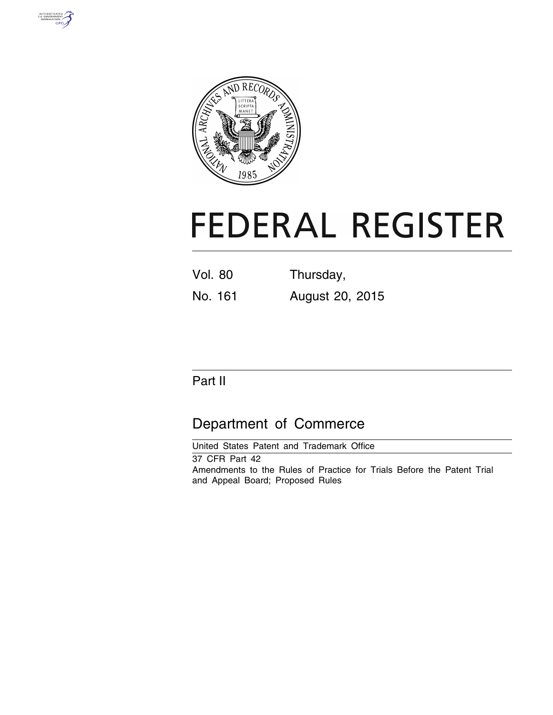



# **FEDERAL REGISTER**

Vol. 80 Thursday, No. 161 August 20, 2015

Part II

# Department of Commerce

United States Patent and Trademark Office

37 CFR Part 42 Amendments to the Rules of Practice for Trials Before the Patent Trial and Appeal Board; Proposed Rules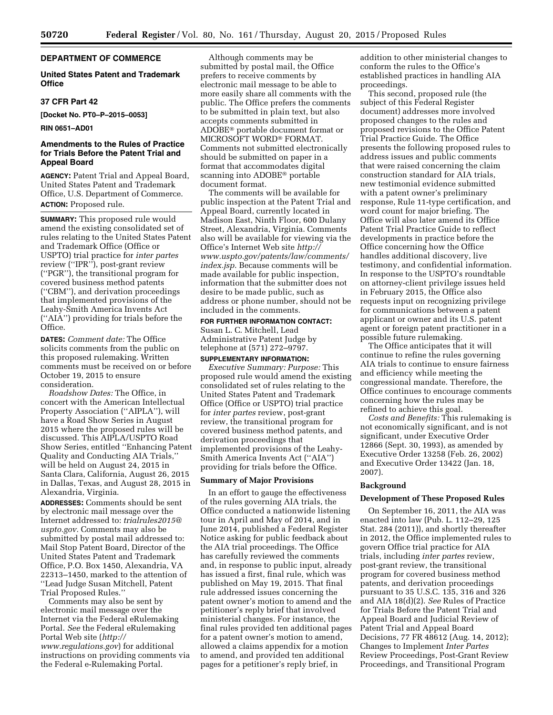## **DEPARTMENT OF COMMERCE**

#### **United States Patent and Trademark Office**

#### **37 CFR Part 42**

**[Docket No. PT0–P–2015–0053]** 

#### **RIN 0651–AD01**

#### **Amendments to the Rules of Practice for Trials Before the Patent Trial and Appeal Board**

**AGENCY:** Patent Trial and Appeal Board, United States Patent and Trademark Office, U.S. Department of Commerce. **ACTION:** Proposed rule.

**SUMMARY:** This proposed rule would amend the existing consolidated set of rules relating to the United States Patent and Trademark Office (Office or USPTO) trial practice for *inter partes*  review (''IPR''), post-grant review (''PGR''), the transitional program for covered business method patents (''CBM''), and derivation proceedings that implemented provisions of the Leahy-Smith America Invents Act (''AIA'') providing for trials before the Office.

**DATES:** *Comment date:* The Office solicits comments from the public on this proposed rulemaking. Written comments must be received on or before October 19, 2015 to ensure consideration.

*Roadshow Dates:* The Office, in concert with the American Intellectual Property Association (''AIPLA''), will have a Road Show Series in August 2015 where the proposed rules will be discussed. This AIPLA/USPTO Road Show Series, entitled ''Enhancing Patent Quality and Conducting AIA Trials,'' will be held on August 24, 2015 in Santa Clara, California, August 26, 2015 in Dallas, Texas, and August 28, 2015 in Alexandria, Virginia.

**ADDRESSES:** Comments should be sent by electronic mail message over the Internet addressed to: *[trialrules2015@](mailto:trialrules2015@uspto.gov) [uspto.gov.](mailto:trialrules2015@uspto.gov)* Comments may also be submitted by postal mail addressed to: Mail Stop Patent Board, Director of the United States Patent and Trademark Office, P.O. Box 1450, Alexandria, VA 22313–1450, marked to the attention of ''Lead Judge Susan Mitchell, Patent Trial Proposed Rules.''

Comments may also be sent by electronic mail message over the Internet via the Federal eRulemaking Portal. *See* the Federal eRulemaking Portal Web site (*[http://](http://www.regulations.gov) [www.regulations.gov](http://www.regulations.gov)*) for additional instructions on providing comments via the Federal e-Rulemaking Portal.

Although comments may be submitted by postal mail, the Office prefers to receive comments by electronic mail message to be able to more easily share all comments with the public. The Office prefers the comments to be submitted in plain text, but also accepts comments submitted in ADOBE® portable document format or MICROSOFT WORD® FORMAT. Comments not submitted electronically should be submitted on paper in a format that accommodates digital scanning into ADOBE® portable document format.

The comments will be available for public inspection at the Patent Trial and Appeal Board, currently located in Madison East, Ninth Floor, 600 Dulany Street, Alexandria, Virginia. Comments also will be available for viewing via the Office's Internet Web site *[http://](http://www.uspto.gov/patents/law/comments/index.jsp) [www.uspto.gov/patents/law/comments/](http://www.uspto.gov/patents/law/comments/index.jsp) [index.jsp](http://www.uspto.gov/patents/law/comments/index.jsp)*. Because comments will be made available for public inspection, information that the submitter does not desire to be made public, such as address or phone number, should not be included in the comments.

# **FOR FURTHER INFORMATION CONTACT:**

Susan L. C. Mitchell, Lead Administrative Patent Judge by telephone at (571) 272–9797.

# **SUPPLEMENTARY INFORMATION:**

*Executive Summary: Purpose:* This proposed rule would amend the existing consolidated set of rules relating to the United States Patent and Trademark Office (Office or USPTO) trial practice for *inter partes* review, post-grant review, the transitional program for covered business method patents, and derivation proceedings that implemented provisions of the Leahy-Smith America Invents Act (''AIA'') providing for trials before the Office.

#### **Summary of Major Provisions**

In an effort to gauge the effectiveness of the rules governing AIA trials, the Office conducted a nationwide listening tour in April and May of 2014, and in June 2014, published a Federal Register Notice asking for public feedback about the AIA trial proceedings. The Office has carefully reviewed the comments and, in response to public input, already has issued a first, final rule, which was published on May 19, 2015. That final rule addressed issues concerning the patent owner's motion to amend and the petitioner's reply brief that involved ministerial changes. For instance, the final rules provided ten additional pages for a patent owner's motion to amend, allowed a claims appendix for a motion to amend, and provided ten additional pages for a petitioner's reply brief, in

addition to other ministerial changes to conform the rules to the Office's established practices in handling AIA proceedings.

This second, proposed rule (the subject of this Federal Register document) addresses more involved proposed changes to the rules and proposed revisions to the Office Patent Trial Practice Guide. The Office presents the following proposed rules to address issues and public comments that were raised concerning the claim construction standard for AIA trials, new testimonial evidence submitted with a patent owner's preliminary response, Rule 11-type certification, and word count for major briefing. The Office will also later amend its Office Patent Trial Practice Guide to reflect developments in practice before the Office concerning how the Office handles additional discovery, live testimony, and confidential information. In response to the USPTO's roundtable on attorney-client privilege issues held in February 2015, the Office also requests input on recognizing privilege for communications between a patent applicant or owner and its U.S. patent agent or foreign patent practitioner in a possible future rulemaking.

The Office anticipates that it will continue to refine the rules governing AIA trials to continue to ensure fairness and efficiency while meeting the congressional mandate. Therefore, the Office continues to encourage comments concerning how the rules may be refined to achieve this goal.

*Costs and Benefits:* This rulemaking is not economically significant, and is not significant, under Executive Order 12866 (Sept. 30, 1993), as amended by Executive Order 13258 (Feb. 26, 2002) and Executive Order 13422 (Jan. 18, 2007).

#### **Background**

#### **Development of These Proposed Rules**

On September 16, 2011, the AIA was enacted into law (Pub. L. 112–29, 125 Stat. 284 (2011)), and shortly thereafter in 2012, the Office implemented rules to govern Office trial practice for AIA trials, including *inter partes* review, post-grant review, the transitional program for covered business method patents, and derivation proceedings pursuant to 35 U.S.C. 135, 316 and 326 and AIA 18(d)(2). *See* Rules of Practice for Trials Before the Patent Trial and Appeal Board and Judicial Review of Patent Trial and Appeal Board Decisions, 77 FR 48612 (Aug. 14, 2012); Changes to Implement *Inter Partes*  Review Proceedings, Post-Grant Review Proceedings, and Transitional Program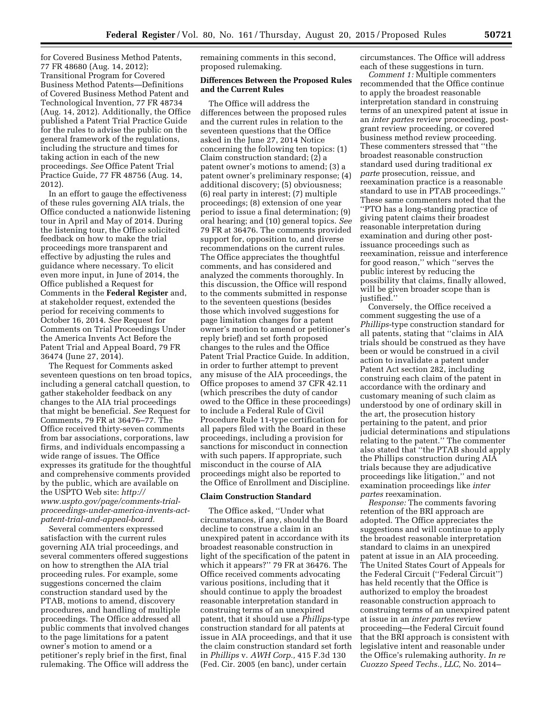for Covered Business Method Patents, 77 FR 48680 (Aug. 14, 2012); Transitional Program for Covered Business Method Patents—Definitions of Covered Business Method Patent and Technological Invention, 77 FR 48734 (Aug. 14, 2012). Additionally, the Office published a Patent Trial Practice Guide for the rules to advise the public on the general framework of the regulations, including the structure and times for taking action in each of the new proceedings. *See* Office Patent Trial Practice Guide, 77 FR 48756 (Aug. 14, 2012).

In an effort to gauge the effectiveness of these rules governing AIA trials, the Office conducted a nationwide listening tour in April and May of 2014. During the listening tour, the Office solicited feedback on how to make the trial proceedings more transparent and effective by adjusting the rules and guidance where necessary. To elicit even more input, in June of 2014, the Office published a Request for Comments in the **Federal Register** and, at stakeholder request, extended the period for receiving comments to October 16, 2014. *See* Request for Comments on Trial Proceedings Under the America Invents Act Before the Patent Trial and Appeal Board, 79 FR 36474 (June 27, 2014).

The Request for Comments asked seventeen questions on ten broad topics, including a general catchall question, to gather stakeholder feedback on any changes to the AIA trial proceedings that might be beneficial. *See* Request for Comments, 79 FR at 36476–77. The Office received thirty-seven comments from bar associations, corporations, law firms, and individuals encompassing a wide range of issues. The Office expresses its gratitude for the thoughtful and comprehensive comments provided by the public, which are available on the USPTO Web site: *[http://](http://www.uspto.gov/page/comments-trial-proceedings-under-america-invents-act-patent-trial-and-appeal-board) www.uspto.gov/page/comments-trial[proceedings-under-america-invents-act](http://www.uspto.gov/page/comments-trial-proceedings-under-america-invents-act-patent-trial-and-appeal-board)patent-trial-and-appeal-board.* 

Several commenters expressed satisfaction with the current rules governing AIA trial proceedings, and several commenters offered suggestions on how to strengthen the AIA trial proceeding rules. For example, some suggestions concerned the claim construction standard used by the PTAB, motions to amend, discovery procedures, and handling of multiple proceedings. The Office addressed all public comments that involved changes to the page limitations for a patent owner's motion to amend or a petitioner's reply brief in the first, final rulemaking. The Office will address the

remaining comments in this second, proposed rulemaking.

#### **Differences Between the Proposed Rules and the Current Rules**

The Office will address the differences between the proposed rules and the current rules in relation to the seventeen questions that the Office asked in the June 27, 2014 Notice concerning the following ten topics: (1) Claim construction standard; (2) a patent owner's motions to amend; (3) a patent owner's preliminary response; (4) additional discovery; (5) obviousness; (6) real party in interest; (7) multiple proceedings; (8) extension of one year period to issue a final determination; (9) oral hearing; and (10) general topics. *See*  79 FR at 36476. The comments provided support for, opposition to, and diverse recommendations on the current rules. The Office appreciates the thoughtful comments, and has considered and analyzed the comments thoroughly. In this discussion, the Office will respond to the comments submitted in response to the seventeen questions (besides those which involved suggestions for page limitation changes for a patent owner's motion to amend or petitioner's reply brief) and set forth proposed changes to the rules and the Office Patent Trial Practice Guide. In addition, in order to further attempt to prevent any misuse of the AIA proceedings, the Office proposes to amend 37 CFR 42.11 (which prescribes the duty of candor owed to the Office in these proceedings) to include a Federal Rule of Civil Procedure Rule 11-type certification for all papers filed with the Board in these proceedings, including a provision for sanctions for misconduct in connection with such papers. If appropriate, such misconduct in the course of AIA proceedings might also be reported to the Office of Enrollment and Discipline.

#### **Claim Construction Standard**

The Office asked, ''Under what circumstances, if any, should the Board decline to construe a claim in an unexpired patent in accordance with its broadest reasonable construction in light of the specification of the patent in which it appears?'' 79 FR at 36476. The Office received comments advocating various positions, including that it should continue to apply the broadest reasonable interpretation standard in construing terms of an unexpired patent, that it should use a *Phillips*-type construction standard for all patents at issue in AIA proceedings, and that it use the claim construction standard set forth in *Phillips* v. *AWH Corp.,* 415 F.3d 130 (Fed. Cir. 2005 (en banc), under certain

circumstances. The Office will address each of these suggestions in turn.

*Comment 1:* Multiple commenters recommended that the Office continue to apply the broadest reasonable interpretation standard in construing terms of an unexpired patent at issue in an *inter partes* review proceeding, postgrant review proceeding, or covered business method review proceeding. These commenters stressed that ''the broadest reasonable construction standard used during traditional *ex parte* prosecution, reissue, and reexamination practice is a reasonable standard to use in PTAB proceedings.'' These same commenters noted that the ''PTO has a long-standing practice of giving patent claims their broadest reasonable interpretation during examination and during other postissuance proceedings such as reexamination, reissue and interference for good reason,'' which ''serves the public interest by reducing the possibility that claims, finally allowed, will be given broader scope than is justified.''

Conversely, the Office received a comment suggesting the use of a *Phillips*-type construction standard for all patents, stating that ''claims in AIA trials should be construed as they have been or would be construed in a civil action to invalidate a patent under Patent Act section 282, including construing each claim of the patent in accordance with the ordinary and customary meaning of such claim as understood by one of ordinary skill in the art, the prosecution history pertaining to the patent, and prior judicial determinations and stipulations relating to the patent.'' The commenter also stated that ''the PTAB should apply the Phillips construction during AIA trials because they are adjudicative proceedings like litigation,'' and not examination proceedings like *inter partes* reexamination.

*Response:* The comments favoring retention of the BRI approach are adopted. The Office appreciates the suggestions and will continue to apply the broadest reasonable interpretation standard to claims in an unexpired patent at issue in an AIA proceeding. The United States Court of Appeals for the Federal Circuit (''Federal Circuit'') has held recently that the Office is authorized to employ the broadest reasonable construction approach to construing terms of an unexpired patent at issue in an *inter partes* review proceeding—the Federal Circuit found that the BRI approach is consistent with legislative intent and reasonable under the Office's rulemaking authority. *In re Cuozzo Speed Techs., LLC,* No. 2014–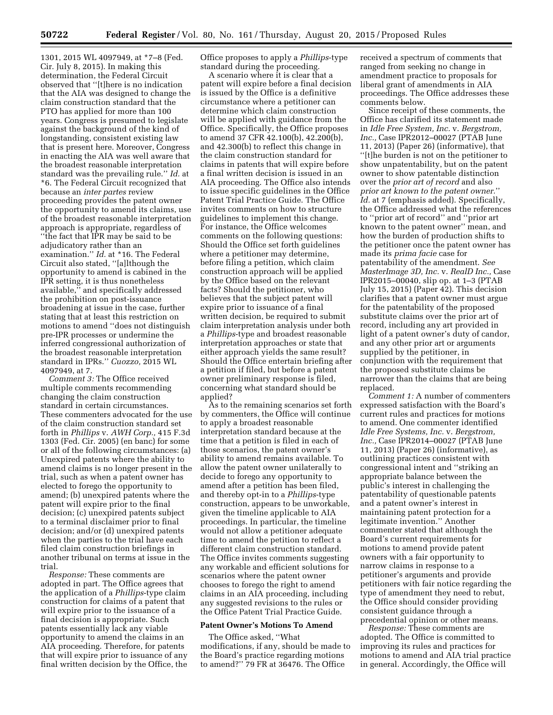1301, 2015 WL 4097949, at \*7–8 (Fed. Cir. July 8, 2015). In making this determination, the Federal Circuit observed that ''[t]here is no indication that the AIA was designed to change the claim construction standard that the PTO has applied for more than 100 years. Congress is presumed to legislate against the background of the kind of longstanding, consistent existing law that is present here. Moreover, Congress in enacting the AIA was well aware that the broadest reasonable interpretation standard was the prevailing rule.'' *Id.* at \*6. The Federal Circuit recognized that because an *inter partes* review proceeding provides the patent owner the opportunity to amend its claims, use of the broadest reasonable interpretation approach is appropriate, regardless of ''the fact that IPR may be said to be adjudicatory rather than an examination.'' *Id.* at \*16. The Federal Circuit also stated, ''[a]lthough the opportunity to amend is cabined in the IPR setting, it is thus nonetheless available,'' and specifically addressed the prohibition on post-issuance broadening at issue in the case, further stating that at least this restriction on motions to amend ''does not distinguish pre-IPR processes or undermine the inferred congressional authorization of the broadest reasonable interpretation standard in IPRs.'' *Cuozzo,* 2015 WL 4097949, at 7.

*Comment 3:* The Office received multiple comments recommending changing the claim construction standard in certain circumstances. These commenters advocated for the use of the claim construction standard set forth in *Phillips* v. *AWH Corp.,* 415 F.3d 1303 (Fed. Cir. 2005) (en banc) for some or all of the following circumstances: (a) Unexpired patents where the ability to amend claims is no longer present in the trial, such as when a patent owner has elected to forego the opportunity to amend; (b) unexpired patents where the patent will expire prior to the final decision; (c) unexpired patents subject to a terminal disclaimer prior to final decision; and/or (d) unexpired patents when the parties to the trial have each filed claim construction briefings in another tribunal on terms at issue in the trial.

*Response:* These comments are adopted in part. The Office agrees that the application of a *Phillips*-type claim construction for claims of a patent that will expire prior to the issuance of a final decision is appropriate. Such patents essentially lack any viable opportunity to amend the claims in an AIA proceeding. Therefore, for patents that will expire prior to issuance of any final written decision by the Office, the Office proposes to apply a *Phillips*-type standard during the proceeding.

A scenario where it is clear that a patent will expire before a final decision is issued by the Office is a definitive circumstance where a petitioner can determine which claim construction will be applied with guidance from the Office. Specifically, the Office proposes to amend 37 CFR 42.100(b), 42.200(b), and 42.300(b) to reflect this change in the claim construction standard for claims in patents that will expire before a final written decision is issued in an AIA proceeding. The Office also intends to issue specific guidelines in the Office Patent Trial Practice Guide. The Office invites comments on how to structure guidelines to implement this change. For instance, the Office welcomes comments on the following questions: Should the Office set forth guidelines where a petitioner may determine, before filing a petition, which claim construction approach will be applied by the Office based on the relevant facts? Should the petitioner, who believes that the subject patent will expire prior to issuance of a final written decision, be required to submit claim interpretation analysis under both a *Phillips*-type and broadest reasonable interpretation approaches or state that either approach yields the same result? Should the Office entertain briefing after a petition if filed, but before a patent owner preliminary response is filed, concerning what standard should be applied?

As to the remaining scenarios set forth by commenters, the Office will continue to apply a broadest reasonable interpretation standard because at the time that a petition is filed in each of those scenarios, the patent owner's ability to amend remains available. To allow the patent owner unilaterally to decide to forego any opportunity to amend after a petition has been filed, and thereby opt-in to a *Phillips*-type construction, appears to be unworkable, given the timeline applicable to AIA proceedings. In particular, the timeline would not allow a petitioner adequate time to amend the petition to reflect a different claim construction standard. The Office invites comments suggesting any workable and efficient solutions for scenarios where the patent owner chooses to forego the right to amend claims in an AIA proceeding, including any suggested revisions to the rules or the Office Patent Trial Practice Guide.

#### **Patent Owner's Motions To Amend**

The Office asked, ''What modifications, if any, should be made to the Board's practice regarding motions to amend?'' 79 FR at 36476. The Office

received a spectrum of comments that ranged from seeking no change in amendment practice to proposals for liberal grant of amendments in AIA proceedings. The Office addresses these comments below.

Since receipt of these comments, the Office has clarified its statement made in *Idle Free System, Inc.* v. *Bergstrom, Inc.,* Case IPR2012–00027 (PTAB June 11, 2013) (Paper 26) (informative), that ''[t]he burden is not on the petitioner to show unpatentability, but on the patent owner to show patentable distinction over the *prior art of record* and also *prior art known to the patent owner.*'' *Id.* at 7 (emphasis added). Specifically, the Office addressed what the references to ''prior art of record'' and ''prior art known to the patent owner'' mean, and how the burden of production shifts to the petitioner once the patent owner has made its *prima facie* case for patentability of the amendment. *See MasterImage 3D, Inc.* v. *RealD Inc.,* Case IPR2015–00040, slip op. at 1–3 (PTAB July 15, 2015) (Paper 42). This decision clarifies that a patent owner must argue for the patentability of the proposed substitute claims over the prior art of record, including any art provided in light of a patent owner's duty of candor, and any other prior art or arguments supplied by the petitioner, in conjunction with the requirement that the proposed substitute claims be narrower than the claims that are being replaced.

*Comment 1:* A number of commenters expressed satisfaction with the Board's current rules and practices for motions to amend. One commenter identified *Idle Free Systems, Inc.* v. *Bergstrom, Inc.,* Case IPR2014–00027 (PTAB June 11, 2013) (Paper 26) (informative), as outlining practices consistent with congressional intent and ''striking an appropriate balance between the public's interest in challenging the patentability of questionable patents and a patent owner's interest in maintaining patent protection for a legitimate invention.'' Another commenter stated that although the Board's current requirements for motions to amend provide patent owners with a fair opportunity to narrow claims in response to a petitioner's arguments and provide petitioners with fair notice regarding the type of amendment they need to rebut, the Office should consider providing consistent guidance through a precedential opinion or other means.

*Response:* These comments are adopted. The Office is committed to improving its rules and practices for motions to amend and AIA trial practice in general. Accordingly, the Office will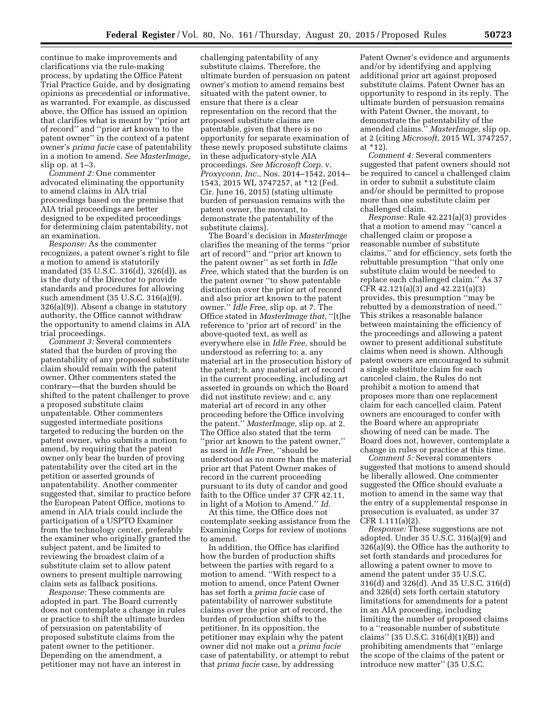continue to make improvements and clarifications via the rule-making process, by updating the Office Patent Trial Practice Guide, and by designating opinions as precedential or informative, as warranted. For example, as discussed above, the Office has issued an opinion that clarifies what is meant by ''prior art of record'' and ''prior art known to the patent owner'' in the context of a patent owner's *prima facie* case of patentability in a motion to amend. *See MasterImage,*  slip op. at 1–3.

*Comment 2:* One commenter advocated eliminating the opportunity to amend claims in AIA trial proceedings based on the premise that AIA trial proceedings are better designed to be expedited proceedings for determining claim patentability, not an examination.

*Response:* As the commenter recognizes, a patent owner's right to file a motion to amend is statutorily mandated (35 U.S.C. 316(d), 326(d)), as is the duty of the Director to provide standards and procedures for allowing such amendment (35 U.S.C. 316(a)(9), 326(a)(9)). Absent a change in statutory authority, the Office cannot withdraw the opportunity to amend claims in AIA trial proceedings.

*Comment 3:* Several commenters stated that the burden of proving the patentability of any proposed substitute claim should remain with the patent owner. Other commenters stated the contrary—that the burden should be shifted to the patent challenger to prove a proposed substitute claim unpatentable. Other commenters suggested intermediate positions targeted to reducing the burden on the patent owner, who submits a motion to amend, by requiring that the patent owner only bear the burden of proving patentability over the cited art in the petition or asserted grounds of unpatentability. Another commenter suggested that, similar to practice before the European Patent Office, motions to amend in AIA trials could include the participation of a USPTO Examiner from the technology center, preferably the examiner who originally granted the subject patent, and be limited to reviewing the broadest claim of a substitute claim set to allow patent owners to present multiple narrowing claim sets as fallback positions.

*Response:* These comments are adopted in part. The Board currently does not contemplate a change in rules or practice to shift the ultimate burden of persuasion on patentability of proposed substitute claims from the patent owner to the petitioner. Depending on the amendment, a petitioner may not have an interest in

challenging patentability of any substitute claims. Therefore, the ultimate burden of persuasion on patent owner's motion to amend remains best situated with the patent owner, to ensure that there is a clear representation on the record that the proposed substitute claims are patentable, given that there is no opportunity for separate examination of these newly proposed substitute claims in these adjudicatory-style AIA proceedings. *See Microsoft Corp.* v. *Proxyconn, Inc.,* Nos. 2014–1542, 2014– 1543, 2015 WL 3747257, at \*12 (Fed. Cir. June 16, 2015) (stating ultimate burden of persuasion remains with the patent owner, the movant, to demonstrate the patentability of the substitute claims).

The Board's decision in *MasterImage*  clarifies the meaning of the terms ''prior art of record'' and ''prior art known to the patent owner'' as set forth in *Idle Free,* which stated that the burden is on the patent owner ''to show patentable distinction over the prior art of record and also prior art known to the patent owner.'' *Idle Free,* slip op. at 7. The Office stated in *MasterImage that,* ''[t]he reference to 'prior art of record' in the above-quoted text, as well as everywhere else in *Idle Free,* should be understood as referring to: a. any material art in the prosecution history of the patent; b. any material art of record in the current proceeding, including art asserted in grounds on which the Board did not institute review; and c. any material art of record in any other proceeding before the Office involving the patent.'' *MasterImage,* slip op. at 2. The Office also stated that the term ''prior art known to the patent owner,'' as used in *Idle Free,* ''should be understood as no more than the material prior art that Patent Owner makes of record in the current proceeding pursuant to its duty of candor and good faith to the Office under 37 CFR 42.11, in light of a Motion to Amend.'' *Id.* 

At this time, the Office does not contemplate seeking assistance from the Examining Corps for review of motions to amend.

In addition, the Office has clarified how the burden of production shifts between the parties with regard to a motion to amend. ''With respect to a motion to amend, once Patent Owner has set forth a *prima facie* case of patentability of narrower substitute claims over the prior art of record, the burden of production shifts to the petitioner. In its opposition, the petitioner may explain why the patent owner did not make out a *prima facie*  case of patentability, or attempt to rebut that *prima facie* case, by addressing

Patent Owner's evidence and arguments and/or by identifying and applying additional prior art against proposed substitute claims. Patent Owner has an opportunity to respond in its reply. The ultimate burden of persuasion remains with Patent Owner, the movant, to demonstrate the patentability of the amended claims.'' *MasterImage,* slip op. at 2 (citing *Microsoft,* 2015 WL 3747257, at \*12).

*Comment 4:* Several commenters suggested that patent owners should not be required to cancel a challenged claim in order to submit a substitute claim and/or should be permitted to propose more than one substitute claim per challenged claim.

*Response:* Rule 42.221(a)(3) provides that a motion to amend may ''cancel a challenged claim or propose a reasonable number of substitute claims,'' and for efficiency, sets forth the rebuttable presumption ''that only one substitute claim would be needed to replace each challenged claim.'' As 37 CFR 42.121(a)(3) and 42.221(a)(3) provides, this presumption ''may be rebutted by a demonstration of need.'' This strikes a reasonable balance between maintaining the efficiency of the proceedings and allowing a patent owner to present additional substitute claims when need is shown. Although patent owners are encouraged to submit a single substitute claim for each canceled claim, the Rules do not prohibit a motion to amend that proposes more than one replacement claim for each cancelled claim. Patent owners are encouraged to confer with the Board where an appropriate showing of need can be made. The Board does not, however, contemplate a change in rules or practice at this time.

*Comment 5:* Several commenters suggested that motions to amend should be liberally allowed. One commenter suggested the Office should evaluate a motion to amend in the same way that the entry of a supplemental response in prosecution is evaluated, as under 37 CFR 1.111(a)(2).

*Response:* These suggestions are not adopted. Under 35 U.S.C. 316(a)(9) and 326(a)(9), the Office has the authority to set forth standards and procedures for allowing a patent owner to move to amend the patent under 35 U.S.C. 316(d) and 326(d). And 35 U.S.C. 316(d) and 326(d) sets forth certain statutory limitations for amendments for a patent in an AIA proceeding, including limiting the number of proposed claims to a ''reasonable number of substitute claims'' (35 U.S.C. 316(d)(1)(B)) and prohibiting amendments that ''enlarge the scope of the claims of the patent or introduce new matter'' (35 U.S.C.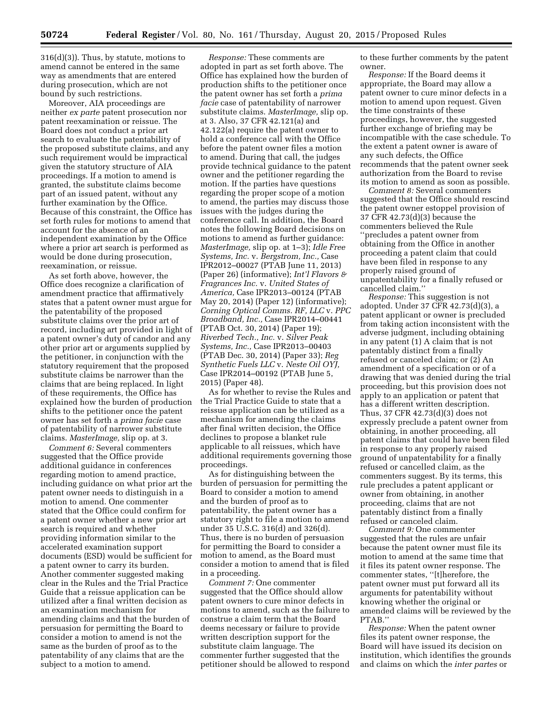316(d)(3)). Thus, by statute, motions to amend cannot be entered in the same way as amendments that are entered during prosecution, which are not bound by such restrictions.

Moreover, AIA proceedings are neither *ex parte* patent prosecution nor patent reexamination or reissue. The Board does not conduct a prior art search to evaluate the patentability of the proposed substitute claims, and any such requirement would be impractical given the statutory structure of AIA proceedings. If a motion to amend is granted, the substitute claims become part of an issued patent, without any further examination by the Office. Because of this constraint, the Office has set forth rules for motions to amend that account for the absence of an independent examination by the Office where a prior art search is performed as would be done during prosecution, reexamination, or reissue.

As set forth above, however, the Office does recognize a clarification of amendment practice that affirmatively states that a patent owner must argue for the patentability of the proposed substitute claims over the prior art of record, including art provided in light of a patent owner's duty of candor and any other prior art or arguments supplied by the petitioner, in conjunction with the statutory requirement that the proposed substitute claims be narrower than the claims that are being replaced. In light of these requirements, the Office has explained how the burden of production shifts to the petitioner once the patent owner has set forth a *prima facie* case of patentability of narrower substitute claims. *MasterImage,* slip op. at 3.

*Comment 6:* Several commenters suggested that the Office provide additional guidance in conferences regarding motion to amend practice, including guidance on what prior art the patent owner needs to distinguish in a motion to amend. One commenter stated that the Office could confirm for a patent owner whether a new prior art search is required and whether providing information similar to the accelerated examination support documents (ESD) would be sufficient for a patent owner to carry its burden. Another commenter suggested making clear in the Rules and the Trial Practice Guide that a reissue application can be utilized after a final written decision as an examination mechanism for amending claims and that the burden of persuasion for permitting the Board to consider a motion to amend is not the same as the burden of proof as to the patentability of any claims that are the subject to a motion to amend.

*Response:* These comments are adopted in part as set forth above. The Office has explained how the burden of production shifts to the petitioner once the patent owner has set forth a *prima facie* case of patentability of narrower substitute claims. *MasterImage,* slip op. at 3. Also, 37 CFR 42.121(a) and 42.122(a) require the patent owner to hold a conference call with the Office before the patent owner files a motion to amend. During that call, the judges provide technical guidance to the patent owner and the petitioner regarding the motion. If the parties have questions regarding the proper scope of a motion to amend, the parties may discuss those issues with the judges during the conference call. In addition, the Board notes the following Board decisions on motions to amend as further guidance: *MasterImage,* slip op. at 1–3); *Idle Free Systems, Inc.* v. *Bergstrom, Inc.,* Case IPR2012–00027 (PTAB June 11, 2013) (Paper 26) (informative); *Int'l Flavors & Fragrances Inc.* v. *United States of America,* Case IPR2013–00124 (PTAB May 20, 2014) (Paper 12) (informative); *Corning Optical Comms. RF, LLC* v. *PPC Broadband, Inc.,* Case IPR2014–00441 (PTAB Oct. 30, 2014) (Paper 19); *Riverbed Tech., Inc.* v. *Silver Peak Systems, Inc.,* Case IPR2013–00403 (PTAB Dec. 30, 2014) (Paper 33); *Reg Synthetic Fuels LLC* v. *Neste Oil OYJ,*  Case IPR2014–00192 (PTAB June 5, 2015) (Paper 48).

As for whether to revise the Rules and the Trial Practice Guide to state that a reissue application can be utilized as a mechanism for amending the claims after final written decision, the Office declines to propose a blanket rule applicable to all reissues, which have additional requirements governing those proceedings.

As for distinguishing between the burden of persuasion for permitting the Board to consider a motion to amend and the burden of proof as to patentability, the patent owner has a statutory right to file a motion to amend under 35 U.S.C. 316(d) and 326(d). Thus, there is no burden of persuasion for permitting the Board to consider a motion to amend, as the Board must consider a motion to amend that is filed in a proceeding.

*Comment 7:* One commenter suggested that the Office should allow patent owners to cure minor defects in motions to amend, such as the failure to construe a claim term that the Board deems necessary or failure to provide written description support for the substitute claim language. The commenter further suggested that the petitioner should be allowed to respond to these further comments by the patent owner.

*Response:* If the Board deems it appropriate, the Board may allow a patent owner to cure minor defects in a motion to amend upon request. Given the time constraints of these proceedings, however, the suggested further exchange of briefing may be incompatible with the case schedule. To the extent a patent owner is aware of any such defects, the Office recommends that the patent owner seek authorization from the Board to revise its motion to amend as soon as possible.

*Comment 8:* Several commenters suggested that the Office should rescind the patent owner estoppel provision of 37 CFR 42.73(d)(3) because the commenters believed the Rule ''precludes a patent owner from obtaining from the Office in another proceeding a patent claim that could have been filed in response to any properly raised ground of unpatentability for a finally refused or cancelled claim.''

*Response:* This suggestion is not adopted. Under 37 CFR 42.73(d)(3), a patent applicant or owner is precluded from taking action inconsistent with the adverse judgment, including obtaining in any patent (1) A claim that is not patentably distinct from a finally refused or canceled claim; or (2) An amendment of a specification or of a drawing that was denied during the trial proceeding, but this provision does not apply to an application or patent that has a different written description. Thus, 37 CFR 42.73(d)(3) does not expressly preclude a patent owner from obtaining, in another proceeding, all patent claims that could have been filed in response to any properly raised ground of unpatentability for a finally refused or cancelled claim, as the commenters suggest. By its terms, this rule precludes a patent applicant or owner from obtaining, in another proceeding, claims that are not patentably distinct from a finally refused or canceled claim.

*Comment 9:* One commenter suggested that the rules are unfair because the patent owner must file its motion to amend at the same time that it files its patent owner response. The commenter states, ''[t]herefore, the patent owner must put forward all its arguments for patentability without knowing whether the original or amended claims will be reviewed by the PTAB.''

*Response:* When the patent owner files its patent owner response, the Board will have issued its decision on institution, which identifies the grounds and claims on which the *inter partes* or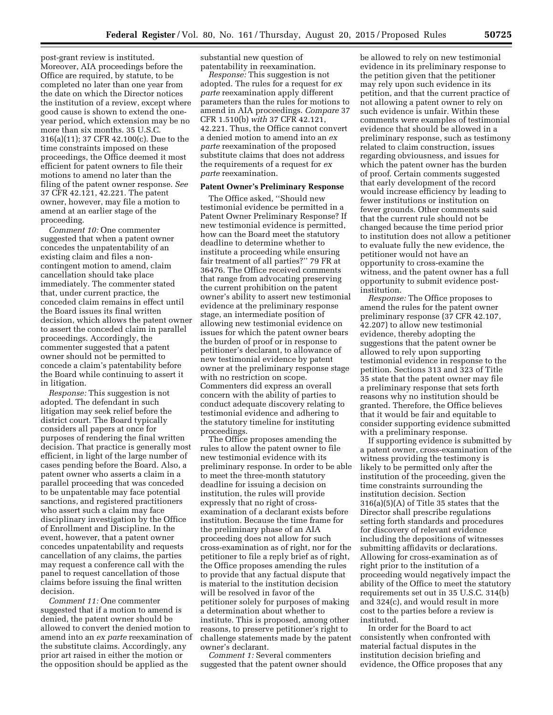post-grant review is instituted. Moreover, AIA proceedings before the Office are required, by statute, to be completed no later than one year from the date on which the Director notices the institution of a review, except where good cause is shown to extend the oneyear period, which extension may be no more than six months. 35 U.S.C. 316(a)(11); 37 CFR 42.100(c). Due to the time constraints imposed on these proceedings, the Office deemed it most efficient for patent owners to file their motions to amend no later than the filing of the patent owner response. *See*  37 CFR 42.121, 42.221. The patent owner, however, may file a motion to amend at an earlier stage of the proceeding.

*Comment 10:* One commenter suggested that when a patent owner concedes the unpatentability of an existing claim and files a noncontingent motion to amend, claim cancellation should take place immediately. The commenter stated that, under current practice, the conceded claim remains in effect until the Board issues its final written decision, which allows the patent owner to assert the conceded claim in parallel proceedings. Accordingly, the commenter suggested that a patent owner should not be permitted to concede a claim's patentability before the Board while continuing to assert it in litigation.

*Response:* This suggestion is not adopted. The defendant in such litigation may seek relief before the district court. The Board typically considers all papers at once for purposes of rendering the final written decision. That practice is generally most efficient, in light of the large number of cases pending before the Board. Also, a patent owner who asserts a claim in a parallel proceeding that was conceded to be unpatentable may face potential sanctions, and registered practitioners who assert such a claim may face disciplinary investigation by the Office of Enrollment and Discipline. In the event, however, that a patent owner concedes unpatentability and requests cancellation of any claims, the parties may request a conference call with the panel to request cancellation of those claims before issuing the final written decision.

*Comment 11:* One commenter suggested that if a motion to amend is denied, the patent owner should be allowed to convert the denied motion to amend into an *ex parte* reexamination of the substitute claims. Accordingly, any prior art raised in either the motion or the opposition should be applied as the

substantial new question of patentability in reexamination.

*Response:* This suggestion is not adopted. The rules for a request for *ex parte* reexamination apply different parameters than the rules for motions to amend in AIA proceedings. *Compare* 37 CFR 1.510(b) *with* 37 CFR 42.121, 42.221. Thus, the Office cannot convert a denied motion to amend into an *ex parte* reexamination of the proposed substitute claims that does not address the requirements of a request for *ex parte* reexamination.

#### **Patent Owner's Preliminary Response**

The Office asked, ''Should new testimonial evidence be permitted in a Patent Owner Preliminary Response? If new testimonial evidence is permitted, how can the Board meet the statutory deadline to determine whether to institute a proceeding while ensuring fair treatment of all parties?'' 79 FR at 36476. The Office received comments that range from advocating preserving the current prohibition on the patent owner's ability to assert new testimonial evidence at the preliminary response stage, an intermediate position of allowing new testimonial evidence on issues for which the patent owner bears the burden of proof or in response to petitioner's declarant, to allowance of new testimonial evidence by patent owner at the preliminary response stage with no restriction on scope. Commenters did express an overall concern with the ability of parties to conduct adequate discovery relating to testimonial evidence and adhering to the statutory timeline for instituting proceedings.

The Office proposes amending the rules to allow the patent owner to file new testimonial evidence with its preliminary response. In order to be able to meet the three-month statutory deadline for issuing a decision on institution, the rules will provide expressly that no right of crossexamination of a declarant exists before institution. Because the time frame for the preliminary phase of an AIA proceeding does not allow for such cross-examination as of right, nor for the petitioner to file a reply brief as of right, the Office proposes amending the rules to provide that any factual dispute that is material to the institution decision will be resolved in favor of the petitioner solely for purposes of making a determination about whether to institute. This is proposed, among other reasons, to preserve petitioner's right to challenge statements made by the patent owner's declarant.

*Comment 1:* Several commenters suggested that the patent owner should be allowed to rely on new testimonial evidence in its preliminary response to the petition given that the petitioner may rely upon such evidence in its petition, and that the current practice of not allowing a patent owner to rely on such evidence is unfair. Within these comments were examples of testimonial evidence that should be allowed in a preliminary response, such as testimony related to claim construction, issues regarding obviousness, and issues for which the patent owner has the burden of proof. Certain comments suggested that early development of the record would increase efficiency by leading to fewer institutions or institution on fewer grounds. Other comments said that the current rule should not be changed because the time period prior to institution does not allow a petitioner to evaluate fully the new evidence, the petitioner would not have an opportunity to cross-examine the witness, and the patent owner has a full opportunity to submit evidence postinstitution.

*Response:* The Office proposes to amend the rules for the patent owner preliminary response (37 CFR 42.107, 42.207) to allow new testimonial evidence, thereby adopting the suggestions that the patent owner be allowed to rely upon supporting testimonial evidence in response to the petition. Sections 313 and 323 of Title 35 state that the patent owner may file a preliminary response that sets forth reasons why no institution should be granted. Therefore, the Office believes that it would be fair and equitable to consider supporting evidence submitted with a preliminary response.

If supporting evidence is submitted by a patent owner, cross-examination of the witness providing the testimony is likely to be permitted only after the institution of the proceeding, given the time constraints surrounding the institution decision. Section 316(a)(5)(A) of Title 35 states that the Director shall prescribe regulations setting forth standards and procedures for discovery of relevant evidence including the depositions of witnesses submitting affidavits or declarations. Allowing for cross-examination as of right prior to the institution of a proceeding would negatively impact the ability of the Office to meet the statutory requirements set out in 35 U.S.C. 314(b) and 324(c), and would result in more cost to the parties before a review is instituted.

In order for the Board to act consistently when confronted with material factual disputes in the institution decision briefing and evidence, the Office proposes that any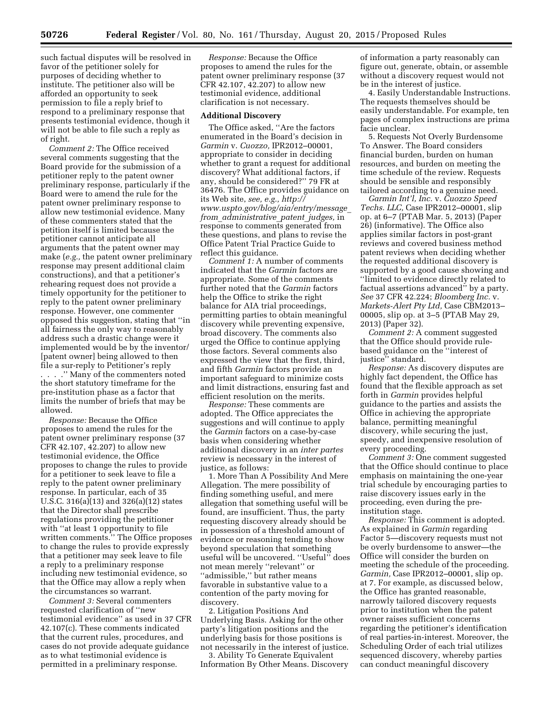such factual disputes will be resolved in favor of the petitioner solely for purposes of deciding whether to institute. The petitioner also will be afforded an opportunity to seek permission to file a reply brief to respond to a preliminary response that presents testimonial evidence, though it will not be able to file such a reply as of right.

*Comment 2:* The Office received several comments suggesting that the Board provide for the submission of a petitioner reply to the patent owner preliminary response, particularly if the Board were to amend the rule for the patent owner preliminary response to allow new testimonial evidence. Many of these commenters stated that the petition itself is limited because the petitioner cannot anticipate all arguments that the patent owner may make (*e.g.,* the patent owner preliminary response may present additional claim constructions), and that a petitioner's rehearing request does not provide a timely opportunity for the petitioner to reply to the patent owner preliminary response. However, one commenter opposed this suggestion, stating that ''in all fairness the only way to reasonably address such a drastic change were it implemented would be by the inventor/ [patent owner] being allowed to then file a sur-reply to Petitioner's reply . . . .'' Many of the commenters noted the short statutory timeframe for the pre-institution phase as a factor that limits the number of briefs that may be allowed.

*Response:* Because the Office proposes to amend the rules for the patent owner preliminary response (37 CFR 42.107, 42.207) to allow new testimonial evidence, the Office proposes to change the rules to provide for a petitioner to seek leave to file a reply to the patent owner preliminary response. In particular, each of 35 U.S.C. 316(a)(13) and 326(a)(12) states that the Director shall prescribe regulations providing the petitioner with ''at least 1 opportunity to file written comments.'' The Office proposes to change the rules to provide expressly that a petitioner may seek leave to file a reply to a preliminary response including new testimonial evidence, so that the Office may allow a reply when the circumstances so warrant.

*Comment 3:* Several commenters requested clarification of ''new testimonial evidence'' as used in 37 CFR 42.107(c). These comments indicated that the current rules, procedures, and cases do not provide adequate guidance as to what testimonial evidence is permitted in a preliminary response.

*Response:* Because the Office proposes to amend the rules for the patent owner preliminary response (37 CFR 42.107, 42.207) to allow new testimonial evidence, additional clarification is not necessary.

#### **Additional Discovery**

The Office asked, ''Are the factors enumerated in the Board's decision in *Garmin* v. *Cuozzo,* IPR2012–00001, appropriate to consider in deciding whether to grant a request for additional discovery? What additional factors, if any, should be considered?'' 79 FR at 36476. The Office provides guidance on its Web site, *see, e.g., [http://](http://www.uspto.gov/blog/aia/entry/message_from_administrative_patent_judges) [www.uspto.gov/blog/aia/entry/message](http://www.uspto.gov/blog/aia/entry/message_from_administrative_patent_judges)*\_ *from*\_*[administrative](http://www.uspto.gov/blog/aia/entry/message_from_administrative_patent_judges)*\_*patent*\_*judges,* in response to comments generated from these questions, and plans to revise the Office Patent Trial Practice Guide to reflect this guidance.

*Comment 1:* A number of comments indicated that the *Garmin* factors are appropriate. Some of the comments further noted that the *Garmin* factors help the Office to strike the right balance for AIA trial proceedings, permitting parties to obtain meaningful discovery while preventing expensive, broad discovery. The comments also urged the Office to continue applying those factors. Several comments also expressed the view that the first, third, and fifth *Garmin* factors provide an important safeguard to minimize costs and limit distractions, ensuring fast and efficient resolution on the merits.

*Response:* These comments are adopted. The Office appreciates the suggestions and will continue to apply the *Garmin* factors on a case-by-case basis when considering whether additional discovery in an *inter partes*  review is necessary in the interest of justice, as follows:

1. More Than A Possibility And Mere Allegation. The mere possibility of finding something useful, and mere allegation that something useful will be found, are insufficient. Thus, the party requesting discovery already should be in possession of a threshold amount of evidence or reasoning tending to show beyond speculation that something useful will be uncovered. ''Useful'' does not mean merely ''relevant'' or ''admissible,'' but rather means favorable in substantive value to a contention of the party moving for discovery.

2. Litigation Positions And Underlying Basis. Asking for the other party's litigation positions and the underlying basis for those positions is not necessarily in the interest of justice.

3. Ability To Generate Equivalent Information By Other Means. Discovery

of information a party reasonably can figure out, generate, obtain, or assemble without a discovery request would not be in the interest of justice.

4. Easily Understandable Instructions. The requests themselves should be easily understandable. For example, ten pages of complex instructions are prima facie unclear.

5. Requests Not Overly Burdensome To Answer. The Board considers financial burden, burden on human resources, and burden on meeting the time schedule of the review. Requests should be sensible and responsibly tailored according to a genuine need.

*Garmin Int'l, Inc.* v. *Cuozzo Speed Techs. LLC,* Case IPR2012–00001, slip op. at 6–7 (PTAB Mar. 5, 2013) (Paper 26) (informative). The Office also applies similar factors in post-grant reviews and covered business method patent reviews when deciding whether the requested additional discovery is supported by a good cause showing and ''limited to evidence directly related to factual assertions advanced'' by a party. *See* 37 CFR 42.224; *Bloomberg Inc.* v. *Markets-Alert Pty Ltd,* Case CBM2013– 00005, slip op. at 3–5 (PTAB May 29, 2013) (Paper 32).

*Comment 2:* A comment suggested that the Office should provide rulebased guidance on the ''interest of justice'' standard.

*Response:* As discovery disputes are highly fact dependent, the Office has found that the flexible approach as set forth in *Garmin* provides helpful guidance to the parties and assists the Office in achieving the appropriate balance, permitting meaningful discovery, while securing the just, speedy, and inexpensive resolution of every proceeding.

*Comment 3:* One comment suggested that the Office should continue to place emphasis on maintaining the one-year trial schedule by encouraging parties to raise discovery issues early in the proceeding, even during the preinstitution stage.

*Response:* This comment is adopted. As explained in *Garmin* regarding Factor 5—discovery requests must not be overly burdensome to answer—the Office will consider the burden on meeting the schedule of the proceeding. *Garmin,* Case IPR2012–00001, slip op. at 7. For example, as discussed below, the Office has granted reasonable, narrowly tailored discovery requests prior to institution when the patent owner raises sufficient concerns regarding the petitioner's identification of real parties-in-interest. Moreover, the Scheduling Order of each trial utilizes sequenced discovery, whereby parties can conduct meaningful discovery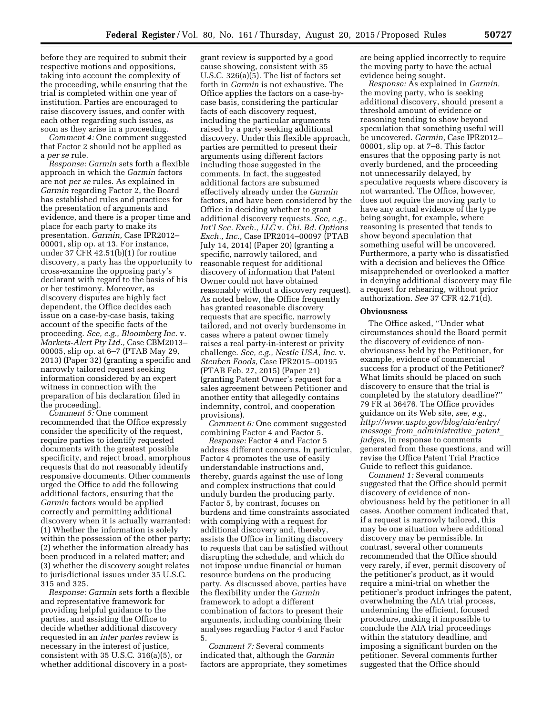before they are required to submit their respective motions and oppositions, taking into account the complexity of the proceeding, while ensuring that the trial is completed within one year of institution. Parties are encouraged to raise discovery issues, and confer with each other regarding such issues, as soon as they arise in a proceeding.

*Comment 4:* One comment suggested that Factor 2 should not be applied as a *per se* rule.

*Response: Garmin* sets forth a flexible approach in which the *Garmin* factors are not *per se* rules. As explained in *Garmin* regarding Factor 2, the Board has established rules and practices for the presentation of arguments and evidence, and there is a proper time and place for each party to make its presentation. *Garmin,* Case IPR2012– 00001, slip op. at 13. For instance, under 37 CFR 42.51(b)(1) for routine discovery, a party has the opportunity to cross-examine the opposing party's declarant with regard to the basis of his or her testimony. Moreover, as discovery disputes are highly fact dependent, the Office decides each issue on a case-by-case basis, taking account of the specific facts of the proceeding. *See, e.g., Bloomberg Inc.* v. *Markets-Alert Pty Ltd.,* Case CBM2013– 00005, slip op. at 6–7 (PTAB May 29, 2013) (Paper 32) (granting a specific and narrowly tailored request seeking information considered by an expert witness in connection with the preparation of his declaration filed in the proceeding).

*Comment 5:* One comment recommended that the Office expressly consider the specificity of the request, require parties to identify requested documents with the greatest possible specificity, and reject broad, amorphous requests that do not reasonably identify responsive documents. Other comments urged the Office to add the following additional factors, ensuring that the *Garmin* factors would be applied correctly and permitting additional discovery when it is actually warranted: (1) Whether the information is solely within the possession of the other party; (2) whether the information already has been produced in a related matter; and (3) whether the discovery sought relates to jurisdictional issues under 35 U.S.C. 315 and 325.

*Response: Garmin* sets forth a flexible and representative framework for providing helpful guidance to the parties, and assisting the Office to decide whether additional discovery requested in an *inter partes* review is necessary in the interest of justice, consistent with 35 U.S.C. 316(a)(5), or whether additional discovery in a post-

grant review is supported by a good cause showing, consistent with 35 U.S.C. 326(a)(5). The list of factors set forth in *Garmin* is not exhaustive. The Office applies the factors on a case-bycase basis, considering the particular facts of each discovery request, including the particular arguments raised by a party seeking additional discovery. Under this flexible approach, parties are permitted to present their arguments using different factors including those suggested in the comments. In fact, the suggested additional factors are subsumed effectively already under the *Garmin*  factors, and have been considered by the Office in deciding whether to grant additional discovery requests. *See, e.g., Int'l Sec. Exch., LLC* v. *Chi. Bd. Options Exch., Inc.,* Case IPR2014–00097 (PTAB July 14, 2014) (Paper 20) (granting a specific, narrowly tailored, and reasonable request for additional discovery of information that Patent Owner could not have obtained reasonably without a discovery request). As noted below, the Office frequently has granted reasonable discovery requests that are specific, narrowly tailored, and not overly burdensome in cases where a patent owner timely raises a real party-in-interest or privity challenge. *See, e.g., Nestle USA, Inc.* v. *Steuben Foods,* Case IPR2015–00195 (PTAB Feb. 27, 2015) (Paper 21) (granting Patent Owner's request for a sales agreement between Petitioner and another entity that allegedly contains indemnity, control, and cooperation provisions).

*Comment 6:* One comment suggested combining Factor 4 and Factor 5.

*Response:* Factor 4 and Factor 5 address different concerns. In particular, Factor 4 promotes the use of easily understandable instructions and, thereby, guards against the use of long and complex instructions that could unduly burden the producing party. Factor 5, by contrast, focuses on burdens and time constraints associated with complying with a request for additional discovery and, thereby, assists the Office in limiting discovery to requests that can be satisfied without disrupting the schedule, and which do not impose undue financial or human resource burdens on the producing party. As discussed above, parties have the flexibility under the *Garmin*  framework to adopt a different combination of factors to present their arguments, including combining their analyses regarding Factor 4 and Factor 5.

*Comment 7:* Several comments indicated that, although the *Garmin*  factors are appropriate, they sometimes are being applied incorrectly to require the moving party to have the actual evidence being sought.

*Response:* As explained in *Garmin,*  the moving party, who is seeking additional discovery, should present a threshold amount of evidence or reasoning tending to show beyond speculation that something useful will be uncovered. *Garmin,* Case IPR2012– 00001, slip op. at 7–8. This factor ensures that the opposing party is not overly burdened, and the proceeding not unnecessarily delayed, by speculative requests where discovery is not warranted. The Office, however, does not require the moving party to have any actual evidence of the type being sought, for example, where reasoning is presented that tends to show beyond speculation that something useful will be uncovered. Furthermore, a party who is dissatisfied with a decision and believes the Office misapprehended or overlooked a matter in denying additional discovery may file a request for rehearing, without prior authorization. *See* 37 CFR 42.71(d).

#### **Obviousness**

The Office asked, ''Under what circumstances should the Board permit the discovery of evidence of nonobviousness held by the Petitioner, for example, evidence of commercial success for a product of the Petitioner? What limits should be placed on such discovery to ensure that the trial is completed by the statutory deadline?'' 79 FR at 36476. The Office provides guidance on its Web site, *see, e.g., [http://www.uspto.gov/blog/aia/entry/](http://www.uspto.gov/blog/aia/entry/message_from_administrative_patent_judges) message*\_*from*\_*[administrative](http://www.uspto.gov/blog/aia/entry/message_from_administrative_patent_judges)*\_*patent*\_ *[judges,](http://www.uspto.gov/blog/aia/entry/message_from_administrative_patent_judges)* in response to comments generated from these questions, and will revise the Office Patent Trial Practice Guide to reflect this guidance.

*Comment 1:* Several comments suggested that the Office should permit discovery of evidence of nonobviousness held by the petitioner in all cases. Another comment indicated that, if a request is narrowly tailored, this may be one situation where additional discovery may be permissible. In contrast, several other comments recommended that the Office should very rarely, if ever, permit discovery of the petitioner's product, as it would require a mini-trial on whether the petitioner's product infringes the patent, overwhelming the AIA trial process, undermining the efficient, focused procedure, making it impossible to conclude the AIA trial proceedings within the statutory deadline, and imposing a significant burden on the petitioner. Several comments further suggested that the Office should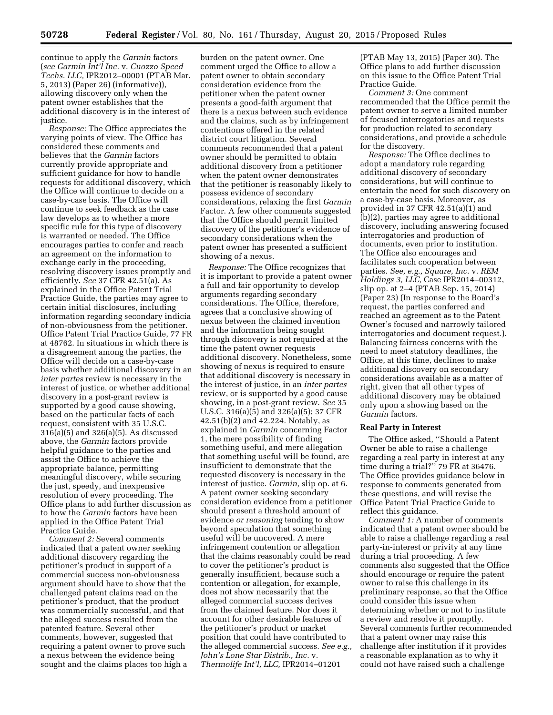continue to apply the *Garmin* factors (*see Garmin Int'l Inc.* v. *Cuozzo Speed Techs. LLC,* IPR2012–00001 (PTAB Mar. 5, 2013) (Paper 26) (informative)), allowing discovery only when the patent owner establishes that the additional discovery is in the interest of justice.

*Response:* The Office appreciates the varying points of view. The Office has considered these comments and believes that the *Garmin* factors currently provide appropriate and sufficient guidance for how to handle requests for additional discovery, which the Office will continue to decide on a case-by-case basis. The Office will continue to seek feedback as the case law develops as to whether a more specific rule for this type of discovery is warranted or needed. The Office encourages parties to confer and reach an agreement on the information to exchange early in the proceeding, resolving discovery issues promptly and efficiently. *See* 37 CFR 42.51(a). As explained in the Office Patent Trial Practice Guide, the parties may agree to certain initial disclosures, including information regarding secondary indicia of non-obviousness from the petitioner. Office Patent Trial Practice Guide, 77 FR at 48762. In situations in which there is a disagreement among the parties, the Office will decide on a case-by-case basis whether additional discovery in an *inter partes* review is necessary in the interest of justice, or whether additional discovery in a post-grant review is supported by a good cause showing, based on the particular facts of each request, consistent with 35 U.S.C. 316(a)(5) and 326(a)(5). As discussed above, the *Garmin* factors provide helpful guidance to the parties and assist the Office to achieve the appropriate balance, permitting meaningful discovery, while securing the just, speedy, and inexpensive resolution of every proceeding. The Office plans to add further discussion as to how the *Garmin* factors have been applied in the Office Patent Trial Practice Guide.

*Comment 2:* Several comments indicated that a patent owner seeking additional discovery regarding the petitioner's product in support of a commercial success non-obviousness argument should have to show that the challenged patent claims read on the petitioner's product, that the product was commercially successful, and that the alleged success resulted from the patented feature. Several other comments, however, suggested that requiring a patent owner to prove such a nexus between the evidence being sought and the claims places too high a

burden on the patent owner. One comment urged the Office to allow a patent owner to obtain secondary consideration evidence from the petitioner when the patent owner presents a good-faith argument that there is a nexus between such evidence and the claims, such as by infringement contentions offered in the related district court litigation. Several comments recommended that a patent owner should be permitted to obtain additional discovery from a petitioner when the patent owner demonstrates that the petitioner is reasonably likely to possess evidence of secondary considerations, relaxing the first *Garmin*  Factor. A few other comments suggested that the Office should permit limited discovery of the petitioner's evidence of secondary considerations when the patent owner has presented a sufficient showing of a nexus.

*Response:* The Office recognizes that it is important to provide a patent owner a full and fair opportunity to develop arguments regarding secondary considerations. The Office, therefore, agrees that a conclusive showing of nexus between the claimed invention and the information being sought through discovery is not required at the time the patent owner requests additional discovery. Nonetheless, some showing of nexus is required to ensure that additional discovery is necessary in the interest of justice, in an *inter partes*  review, or is supported by a good cause showing, in a post-grant review. *See* 35 U.S.C. 316(a)(5) and 326(a)(5); 37 CFR 42.51(b)(2) and 42.224. Notably, as explained in *Garmin* concerning Factor 1, the mere possibility of finding something useful, and mere allegation that something useful will be found, are insufficient to demonstrate that the requested discovery is necessary in the interest of justice. *Garmin,* slip op. at 6. A patent owner seeking secondary consideration evidence from a petitioner should present a threshold amount of evidence *or reasoning* tending to show beyond speculation that something useful will be uncovered. A mere infringement contention or allegation that the claims reasonably could be read to cover the petitioner's product is generally insufficient, because such a contention or allegation, for example, does not show necessarily that the alleged commercial success derives from the claimed feature. Nor does it account for other desirable features of the petitioner's product or market position that could have contributed to the alleged commercial success. *See e.g., John's Lone Star Distrib., Inc.* v. *Thermolife Int'l, LLC,* IPR2014–01201

(PTAB May 13, 2015) (Paper 30). The Office plans to add further discussion on this issue to the Office Patent Trial Practice Guide.

*Comment 3:* One comment recommended that the Office permit the patent owner to serve a limited number of focused interrogatories and requests for production related to secondary considerations, and provide a schedule for the discovery.

*Response:* The Office declines to adopt a mandatory rule regarding additional discovery of secondary considerations, but will continue to entertain the need for such discovery on a case-by-case basis. Moreover, as provided in 37 CFR 42.51(a)(1) and (b)(2), parties may agree to additional discovery, including answering focused interrogatories and production of documents, even prior to institution. The Office also encourages and facilitates such cooperation between parties. *See, e.g., Square, Inc.* v. *REM Holdings 3, LLC,* Case IPR2014–00312, slip op. at 2–4 (PTAB Sep. 15, 2014) (Paper 23) (In response to the Board's request, the parties conferred and reached an agreement as to the Patent Owner's focused and narrowly tailored interrogatories and document request.). Balancing fairness concerns with the need to meet statutory deadlines, the Office, at this time, declines to make additional discovery on secondary considerations available as a matter of right, given that all other types of additional discovery may be obtained only upon a showing based on the *Garmin* factors.

# **Real Party in Interest**

The Office asked, ''Should a Patent Owner be able to raise a challenge regarding a real party in interest at any time during a trial?'' 79 FR at 36476. The Office provides guidance below in response to comments generated from these questions, and will revise the Office Patent Trial Practice Guide to reflect this guidance.

*Comment 1:* A number of comments indicated that a patent owner should be able to raise a challenge regarding a real party-in-interest or privity at any time during a trial proceeding. A few comments also suggested that the Office should encourage or require the patent owner to raise this challenge in its preliminary response, so that the Office could consider this issue when determining whether or not to institute a review and resolve it promptly. Several comments further recommended that a patent owner may raise this challenge after institution if it provides a reasonable explanation as to why it could not have raised such a challenge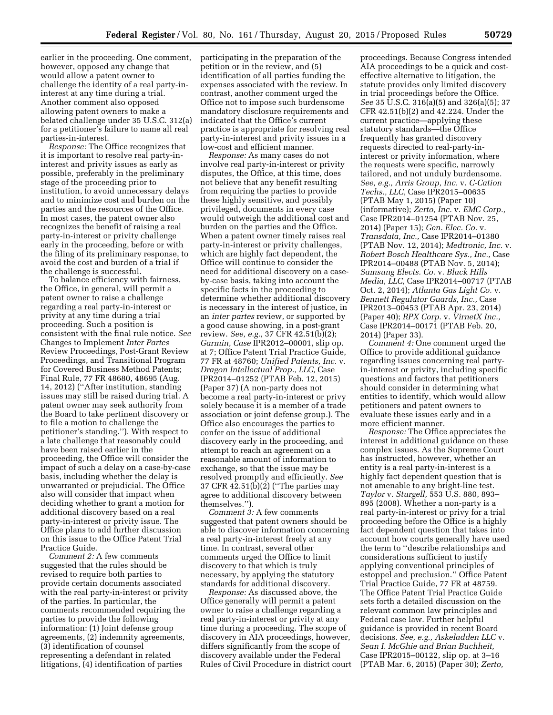earlier in the proceeding. One comment, however, opposed any change that would allow a patent owner to challenge the identity of a real party-ininterest at any time during a trial. Another comment also opposed allowing patent owners to make a belated challenge under 35 U.S.C. 312(a) for a petitioner's failure to name all real parties-in-interest.

*Response:* The Office recognizes that it is important to resolve real party-ininterest and privity issues as early as possible, preferably in the preliminary stage of the proceeding prior to institution, to avoid unnecessary delays and to minimize cost and burden on the parties and the resources of the Office. In most cases, the patent owner also recognizes the benefit of raising a real party-in-interest or privity challenge early in the proceeding, before or with the filing of its preliminary response, to avoid the cost and burden of a trial if the challenge is successful.

To balance efficiency with fairness, the Office, in general, will permit a patent owner to raise a challenge regarding a real party-in-interest or privity at any time during a trial proceeding. Such a position is consistent with the final rule notice. *See*  Changes to Implement *Inter Partes*  Review Proceedings, Post-Grant Review Proceedings, and Transitional Program for Covered Business Method Patents; Final Rule, 77 FR 48680, 48695 (Aug. 14, 2012) (''After institution, standing issues may still be raised during trial. A patent owner may seek authority from the Board to take pertinent discovery or to file a motion to challenge the petitioner's standing.''). With respect to a late challenge that reasonably could have been raised earlier in the proceeding, the Office will consider the impact of such a delay on a case-by-case basis, including whether the delay is unwarranted or prejudicial. The Office also will consider that impact when deciding whether to grant a motion for additional discovery based on a real party-in-interest or privity issue. The Office plans to add further discussion on this issue to the Office Patent Trial Practice Guide.

*Comment 2:* A few comments suggested that the rules should be revised to require both parties to provide certain documents associated with the real party-in-interest or privity of the parties. In particular, the comments recommended requiring the parties to provide the following information: (1) Joint defense group agreements, (2) indemnity agreements, (3) identification of counsel representing a defendant in related litigations, (4) identification of parties

participating in the preparation of the petition or in the review, and (5) identification of all parties funding the expenses associated with the review. In contrast, another comment urged the Office not to impose such burdensome mandatory disclosure requirements and indicated that the Office's current practice is appropriate for resolving real party-in-interest and privity issues in a low-cost and efficient manner.

*Response:* As many cases do not involve real party-in-interest or privity disputes, the Office, at this time, does not believe that any benefit resulting from requiring the parties to provide these highly sensitive, and possibly privileged, documents in every case would outweigh the additional cost and burden on the parties and the Office. When a patent owner timely raises real party-in-interest or privity challenges, which are highly fact dependent, the Office will continue to consider the need for additional discovery on a caseby-case basis, taking into account the specific facts in the proceeding to determine whether additional discovery is necessary in the interest of justice, in an *inter partes* review, or supported by a good cause showing, in a post-grant review. *See, e.g.,* 37 CFR 42.51(b)(2); *Garmin, Case* IPR2012–00001, slip op. at 7; Office Patent Trial Practice Guide, 77 FR at 48760; *Unified Patents, Inc.* v. *Dragon Intellectual Prop., LLC,* Case IPR2014–01252 (PTAB Feb. 12, 2015) (Paper 37) (A non-party does not become a real party-in-interest or privy solely because it is a member of a trade association or joint defense group.). The Office also encourages the parties to confer on the issue of additional discovery early in the proceeding, and attempt to reach an agreement on a reasonable amount of information to exchange, so that the issue may be resolved promptly and efficiently. *See*  37 CFR 42.51(b)(2) (''The parties may agree to additional discovery between themselves.'').

*Comment 3:* A few comments suggested that patent owners should be able to discover information concerning a real party-in-interest freely at any time. In contrast, several other comments urged the Office to limit discovery to that which is truly necessary, by applying the statutory standards for additional discovery.

*Response:* As discussed above, the Office generally will permit a patent owner to raise a challenge regarding a real party-in-interest or privity at any time during a proceeding. The scope of discovery in AIA proceedings, however, differs significantly from the scope of discovery available under the Federal Rules of Civil Procedure in district court

proceedings. Because Congress intended AIA proceedings to be a quick and costeffective alternative to litigation, the statute provides only limited discovery in trial proceedings before the Office. *See* 35 U.S.C. 316(a)(5) and 326(a)(5); 37 CFR 42.51(b)(2) and 42.224. Under the current practice—applying these statutory standards—the Office frequently has granted discovery requests directed to real-party-ininterest or privity information, where the requests were specific, narrowly tailored, and not unduly burdensome. *See, e.g., Arris Group, Inc.* v. *C-Cation Techs., LLC,* Case IPR2015–00635 (PTAB May 1, 2015) (Paper 10) (informative); *Zerto, Inc.* v. *EMC Corp.,*  Case IPR2014–01254 (PTAB Nov. 25, 2014) (Paper 15); *Gen. Elec. Co.* v. *Transdata, Inc.,* Case IPR2014–01380 (PTAB Nov. 12, 2014); *Medtronic, Inc.* v. *Robert Bosch Healthcare Sys., Inc.,* Case IPR2014–00488 (PTAB Nov. 5, 2014); *Samsung Elects. Co.* v. *Black Hills Media, LLC,* Case IPR2014–00717 (PTAB Oct. 2, 2014); *Atlanta Gas Light Co.* v. *Bennett Regulator Guards, Inc.,* Case IPR2013–00453 (PTAB Apr. 23, 2014) (Paper 40); *RPX Corp.* v. *VirnetX Inc.,*  Case IPR2014–00171 (PTAB Feb. 20, 2014) (Paper 33).

*Comment 4:* One comment urged the Office to provide additional guidance regarding issues concerning real partyin-interest or privity, including specific questions and factors that petitioners should consider in determining what entities to identify, which would allow petitioners and patent owners to evaluate these issues early and in a more efficient manner.

*Response:* The Office appreciates the interest in additional guidance on these complex issues. As the Supreme Court has instructed, however, whether an entity is a real party-in-interest is a highly fact dependent question that is not amenable to any bright-line test. *Taylor* v. *Sturgell,* 553 U.S. 880, 893– 895 (2008). Whether a non-party is a real party-in-interest or privy for a trial proceeding before the Office is a highly fact dependent question that takes into account how courts generally have used the term to ''describe relationships and considerations sufficient to justify applying conventional principles of estoppel and preclusion.'' Office Patent Trial Practice Guide, 77 FR at 48759. The Office Patent Trial Practice Guide sets forth a detailed discussion on the relevant common law principles and Federal case law. Further helpful guidance is provided in recent Board decisions. *See, e.g., Askeladden LLC* v. *Sean I. McGhie and Brian Buchheit,*  Case IPR2015–00122, slip op. at 3–16 (PTAB Mar. 6, 2015) (Paper 30); *Zerto,*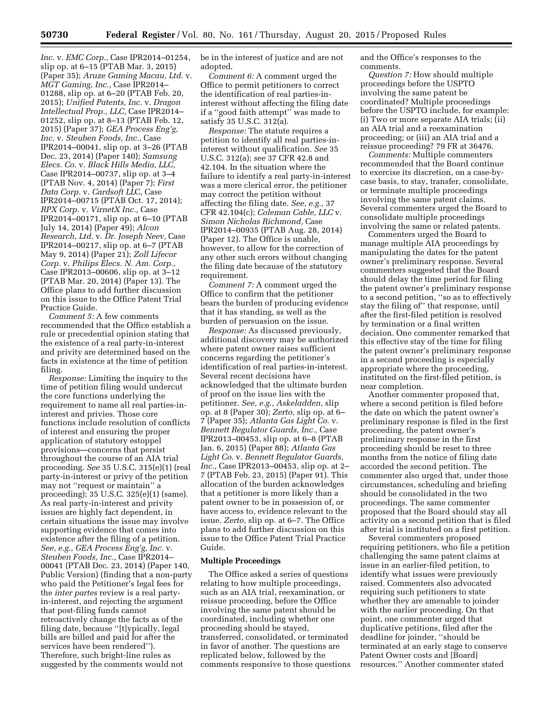*Inc.* v. *EMC Corp.,* Case IPR2014–01254, slip op. at 6–15 (PTAB Mar. 3, 2015) (Paper 35); *Aruze Gaming Macau, Ltd.* v. *MGT Gaming, Inc.,* Case IPR2014– 01288, slip op. at 6–20 (PTAB Feb. 20, 2015); *Unified Patents, Inc.* v. *Dragon Intellectual Prop., LLC,* Case IPR2014– 01252, slip op. at 8–13 (PTAB Feb. 12, 2015) (Paper 37); *GEA Process Eng'g, Inc.* v. *Steuben Foods, Inc.,* Case IPR2014–00041, slip op. at 3–26 (PTAB Dec. 23, 2014) (Paper 140); *Samsung Elecs. Co.* v. *Black Hills Media, LLC,*  Case IPR2014–00737, slip op. at 3–4 (PTAB Nov. 4, 2014) (Paper 7); *First Data Corp.* v. *Cardsoft LL*C, Case IPR2014–00715 (PTAB Oct. 17, 2014); *RPX Corp.* v. *VirnetX Inc.,* Case IPR2014–00171, slip op. at 6–10 (PTAB July 14, 2014) (Paper 49); *Alcon Research, Ltd.* v. *Dr. Joseph Neev,* Case IPR2014–00217, slip op. at 6–7 (PTAB May 9, 2014) (Paper 21); *Zoll Lifecor Corp.* v. *Philips Elecs. N. Am. Corp.,*  Case IPR2013–00606, slip op. at 3–12 (PTAB Mar. 20, 2014) (Paper 13). The Office plans to add further discussion on this issue to the Office Patent Trial Practice Guide.

*Comment 5:* A few comments recommended that the Office establish a rule or precedential opinion stating that the existence of a real party-in-interest and privity are determined based on the facts in existence at the time of petition filing.

*Response:* Limiting the inquiry to the time of petition filing would undercut the core functions underlying the requirement to name all real parties-ininterest and privies. Those core functions include resolution of conflicts of interest and ensuring the proper application of statutory estoppel provisions—concerns that persist throughout the course of an AIA trial proceeding. *See* 35 U.S.C. 315(e)(1) (real party-in-interest or privy of the petition may not ''request or maintain'' a proceeding); 35 U.S.C. 325(e)(1) (same). As real party-in-interest and privity issues are highly fact dependent, in certain situations the issue may involve supporting evidence that comes into existence after the filing of a petition. *See, e.g., GEA Process Eng'g, Inc.* v. *Steuben Foods, Inc.,* Case IPR2014– 00041 (PTAB Dec. 23, 2014) (Paper 140, Public Version) (finding that a non-party who paid the Petitioner's legal fees for the *inter partes* review is a real partyin-interest, and rejecting the argument that post-filing funds cannot retroactively change the facts as of the filing date, because ''[t]ypically, legal bills are billed and paid for after the services have been rendered''). Therefore, such bright-line rules as suggested by the comments would not

be in the interest of justice and are not adopted.

*Comment 6:* A comment urged the Office to permit petitioners to correct the identification of real parties-ininterest without affecting the filing date if a ''good faith attempt'' was made to satisfy 35 U.S.C. 312(a).

*Response:* The statute requires a petition to identify all real parties-ininterest without qualification. *See* 35 U.S.C. 312(a); *see* 37 CFR 42.8 and 42.104. In the situation where the failure to identify a real party-in-interest was a mere clerical error, the petitioner may correct the petition without affecting the filing date. *See, e.g.,* 37 CFR 42.104(c); *Coleman Cable, LLC* v. *Simon Nicholas Richmond,* Case IPR2014–00935 (PTAB Aug. 28, 2014) (Paper 12). The Office is unable, however, to allow for the correction of any other such errors without changing the filing date because of the statutory requirement.

*Comment 7:* A comment urged the Office to confirm that the petitioner bears the burden of producing evidence that it has standing, as well as the burden of persuasion on the issue.

*Response:* As discussed previously, additional discovery may be authorized where patent owner raises sufficient concerns regarding the petitioner's identification of real parties-in-interest. Several recent decisions have acknowledged that the ultimate burden of proof on the issue lies with the petitioner. *See, e.g., Askeladden,* slip op. at 8 (Paper 30); *Zerto,* slip op. at 6– 7 (Paper 35); *Atlanta Gas Light Co.* v. *Bennett Regulator Guards, Inc.,* Case IPR2013–00453, slip op. at 6–8 (PTAB Jan. 6, 2015) (Paper 88); *Atlanta Gas Light Co.* v. *Bennett Regulator Guards, Inc.,* Case IPR2013–00453, slip op. at 2– 7 (PTAB Feb. 23, 2015) (Paper 91). This allocation of the burden acknowledges that a petitioner is more likely than a patent owner to be in possession of, or have access to, evidence relevant to the issue. *Zerto,* slip op. at 6–7. The Office plans to add further discussion on this issue to the Office Patent Trial Practice Guide.

#### **Multiple Proceedings**

The Office asked a series of questions relating to how multiple proceedings, such as an AIA trial, reexamination, or reissue proceeding, before the Office involving the same patent should be coordinated, including whether one proceeding should be stayed, transferred, consolidated, or terminated in favor of another. The questions are replicated below, followed by the comments responsive to those questions and the Office's responses to the comments.

*Question 7:* How should multiple proceedings before the USPTO involving the same patent be coordinated? Multiple proceedings before the USPTO include, for example: (i) Two or more separate AIA trials; (ii) an AIA trial and a reexamination proceeding; or (iii) an AIA trial and a reissue proceeding? 79 FR at 36476.

*Comments:* Multiple commenters recommended that the Board continue to exercise its discretion, on a case-bycase basis, to stay, transfer, consolidate, or terminate multiple proceedings involving the same patent claims. Several commenters urged the Board to consolidate multiple proceedings involving the same or related patents.

Commenters urged the Board to manage multiple AIA proceedings by manipulating the dates for the patent owner's preliminary response. Several commenters suggested that the Board should delay the time period for filing the patent owner's preliminary response to a second petition, ''so as to effectively stay the filing of'' that response, until after the first-filed petition is resolved by termination or a final written decision. One commenter remarked that this effective stay of the time for filing the patent owner's preliminary response in a second proceeding is especially appropriate where the proceeding, instituted on the first-filed petition, is near completion.

Another commenter proposed that, where a second petition is filed before the date on which the patent owner's preliminary response is filed in the first proceeding, the patent owner's preliminary response in the first proceeding should be reset to three months from the notice of filing date accorded the second petition. The commenter also urged that, under those circumstances, scheduling and briefing should be consolidated in the two proceedings. The same commenter proposed that the Board should stay all activity on a second petition that is filed after trial is instituted on a first petition.

Several commenters proposed requiring petitioners, who file a petition challenging the same patent claims at issue in an earlier-filed petition, to identify what issues were previously raised. Commenters also advocated requiring such petitioners to state whether they are amenable to joinder with the earlier proceeding. On that point, one commenter urged that duplicative petitions, filed after the deadline for joinder, ''should be terminated at an early stage to conserve Patent Owner costs and [Board] resources.'' Another commenter stated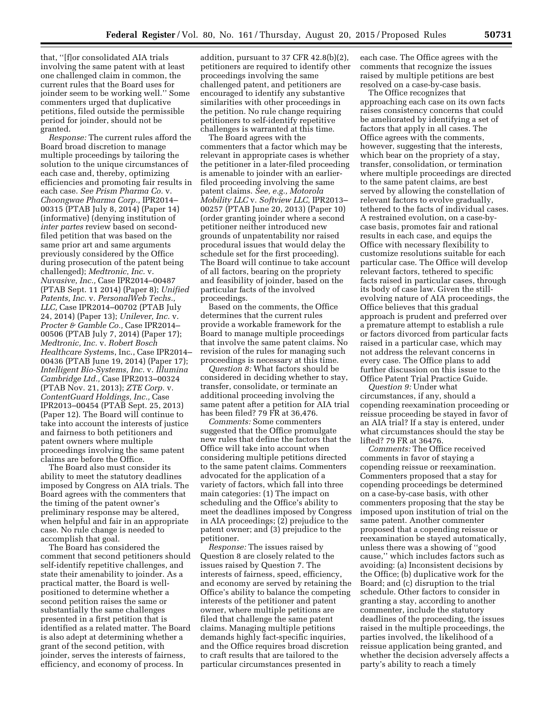that, ''[f]or consolidated AIA trials involving the same patent with at least one challenged claim in common, the current rules that the Board uses for joinder seem to be working well.'' Some commenters urged that duplicative petitions, filed outside the permissible period for joinder, should not be granted.

*Response:* The current rules afford the Board broad discretion to manage multiple proceedings by tailoring the solution to the unique circumstances of each case and, thereby, optimizing efficiencies and promoting fair results in each case. *See Prism Pharma Co.* v. *Choongwae Pharma Corp.,* IPR2014– 00315 (PTAB July 8, 2014) (Paper 14) (informative) (denying institution of *inter partes* review based on secondfiled petition that was based on the same prior art and same arguments previously considered by the Office during prosecution of the patent being challenged); *Medtronic, Inc.* v. *Nuvasive, Inc.,* Case IPR2014–00487 (PTAB Sept. 11 2014) (Paper 8); *Unified Patents, Inc.* v. *PersonalWeb Techs., LLC,* Case IPR2014–00702 (PTAB July 24, 2014) (Paper 13); *Unilever, Inc.* v. *Procter & Gamble Co.,* Case IPR2014– 00506 (PTAB July 7, 2014) (Paper 17); *Medtronic, Inc.* v. *Robert Bosch Healthcare System*s, Inc., Case IPR2014– 00436 (PTAB June 19, 2014) (Paper 17); *Intelligent Bio-Systems, Inc.* v. *Illumina Cambridge Ltd.,* Case IPR2013–00324 (PTAB Nov. 21, 2013); *ZTE Corp.* v. *ContentGuard Holdings, Inc.,* Case IPR2013–00454 (PTAB Sept. 25, 2013) (Paper 12). The Board will continue to take into account the interests of justice and fairness to both petitioners and patent owners where multiple proceedings involving the same patent claims are before the Office.

The Board also must consider its ability to meet the statutory deadlines imposed by Congress on AIA trials. The Board agrees with the commenters that the timing of the patent owner's preliminary response may be altered, when helpful and fair in an appropriate case. No rule change is needed to accomplish that goal.

The Board has considered the comment that second petitioners should self-identify repetitive challenges, and state their amenability to joinder. As a practical matter, the Board is wellpositioned to determine whether a second petition raises the same or substantially the same challenges presented in a first petition that is identified as a related matter. The Board is also adept at determining whether a grant of the second petition, with joinder, serves the interests of fairness, efficiency, and economy of process. In

addition, pursuant to 37 CFR 42.8(b)(2), petitioners are required to identify other proceedings involving the same challenged patent, and petitioners are encouraged to identify any substantive similarities with other proceedings in the petition. No rule change requiring petitioners to self-identify repetitive challenges is warranted at this time.

The Board agrees with the commenters that a factor which may be relevant in appropriate cases is whether the petitioner in a later-filed proceeding is amenable to joinder with an earlierfiled proceeding involving the same patent claims. *See, e.g., Motorola Mobility LLC* v. *Softview LLC,* IPR2013– 00257 (PTAB June 20, 2013) (Paper 10) (order granting joinder where a second petitioner neither introduced new grounds of unpatentability nor raised procedural issues that would delay the schedule set for the first proceeding). The Board will continue to take account of all factors, bearing on the propriety and feasibility of joinder, based on the particular facts of the involved proceedings.

Based on the comments, the Office determines that the current rules provide a workable framework for the Board to manage multiple proceedings that involve the same patent claims. No revision of the rules for managing such proceedings is necessary at this time.

*Question 8:* What factors should be considered in deciding whether to stay, transfer, consolidate, or terminate an additional proceeding involving the same patent after a petition for AIA trial has been filed? 79 FR at 36,476.

*Comments:* Some commenters suggested that the Office promulgate new rules that define the factors that the Office will take into account when considering multiple petitions directed to the same patent claims. Commenters advocated for the application of a variety of factors, which fall into three main categories: (1) The impact on scheduling and the Office's ability to meet the deadlines imposed by Congress in AIA proceedings; (2) prejudice to the patent owner; and (3) prejudice to the petitioner.

*Response:* The issues raised by Question 8 are closely related to the issues raised by Question 7. The interests of fairness, speed, efficiency, and economy are served by retaining the Office's ability to balance the competing interests of the petitioner and patent owner, where multiple petitions are filed that challenge the same patent claims. Managing multiple petitions demands highly fact-specific inquiries, and the Office requires broad discretion to craft results that are tailored to the particular circumstances presented in

each case. The Office agrees with the comments that recognize the issues raised by multiple petitions are best resolved on a case-by-case basis.

The Office recognizes that approaching each case on its own facts raises consistency concerns that could be ameliorated by identifying a set of factors that apply in all cases. The Office agrees with the comments, however, suggesting that the interests, which bear on the propriety of a stay, transfer, consolidation, or termination where multiple proceedings are directed to the same patent claims, are best served by allowing the constellation of relevant factors to evolve gradually, tethered to the facts of individual cases. A restrained evolution, on a case-bycase basis, promotes fair and rational results in each case, and equips the Office with necessary flexibility to customize resolutions suitable for each particular case. The Office will develop relevant factors, tethered to specific facts raised in particular cases, through its body of case law. Given the stillevolving nature of AIA proceedings, the Office believes that this gradual approach is prudent and preferred over a premature attempt to establish a rule or factors divorced from particular facts raised in a particular case, which may not address the relevant concerns in every case. The Office plans to add further discussion on this issue to the Office Patent Trial Practice Guide.

*Question 9:* Under what circumstances, if any, should a copending reexamination proceeding or reissue proceeding be stayed in favor of an AIA trial? If a stay is entered, under what circumstances should the stay be lifted? 79 FR at 36476.

*Comments:* The Office received comments in favor of staying a copending reissue or reexamination. Commenters proposed that a stay for copending proceedings be determined on a case-by-case basis, with other commenters proposing that the stay be imposed upon institution of trial on the same patent. Another commenter proposed that a copending reissue or reexamination be stayed automatically, unless there was a showing of ''good cause,'' which includes factors such as avoiding: (a) Inconsistent decisions by the Office; (b) duplicative work for the Board; and (c) disruption to the trial schedule. Other factors to consider in granting a stay, according to another commenter, include the statutory deadlines of the proceeding, the issues raised in the multiple proceedings, the parties involved, the likelihood of a reissue application being granted, and whether the decision adversely affects a party's ability to reach a timely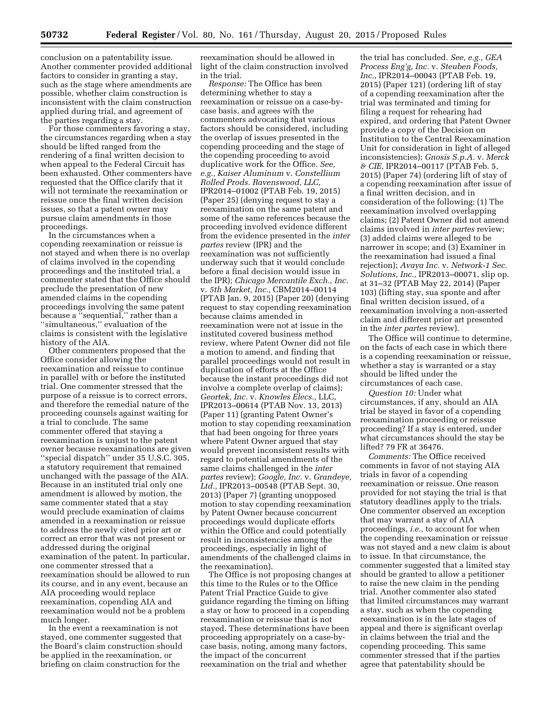conclusion on a patentability issue. Another commenter provided additional factors to consider in granting a stay, such as the stage where amendments are possible, whether claim construction is inconsistent with the claim construction applied during trial, and agreement of the parties regarding a stay.

For those commenters favoring a stay, the circumstances regarding when a stay should be lifted ranged from the rendering of a final written decision to when appeal to the Federal Circuit has been exhausted. Other commenters have requested that the Office clarify that it will not terminate the reexamination or reissue once the final written decision issues, so that a patent owner may pursue claim amendments in those proceedings.

In the circumstances when a copending reexamination or reissue is not stayed and when there is no overlap of claims involved in the copending proceedings and the instituted trial, a commenter stated that the Office should preclude the presentation of new amended claims in the copending proceedings involving the same patent because a ''sequential,'' rather than a ''simultaneous,'' evaluation of the claims is consistent with the legislative history of the AIA.

Other commenters proposed that the Office consider allowing the reexamination and reissue to continue in parallel with or before the instituted trial. One commenter stressed that the purpose of a reissue is to correct errors, and therefore the remedial nature of the proceeding counsels against waiting for a trial to conclude. The same commenter offered that staying a reexamination is unjust to the patent owner because reexaminations are given ''special dispatch'' under 35 U.S.C. 305, a statutory requirement that remained unchanged with the passage of the AIA. Because in an instituted trial only one amendment is allowed by motion, the same commenter stated that a stay would preclude examination of claims amended in a reexamination or reissue to address the newly cited prior art or correct an error that was not present or addressed during the original examination of the patent. In particular, one commenter stressed that a reexamination should be allowed to run its course, and in any event, because an AIA proceeding would replace reexamination, copending AIA and reexamination would not be a problem much longer.

In the event a reexamination is not stayed, one commenter suggested that the Board's claim construction should be applied in the reexamination, or briefing on claim construction for the

reexamination should be allowed in light of the claim construction involved in the trial.

*Response:* The Office has been determining whether to stay a reexamination or reissue on a case-bycase basis, and agrees with the commenters advocating that various factors should be considered, including the overlap of issues presented in the copending proceeding and the stage of the copending proceeding to avoid duplicative work for the Office. *See, e.g., Kaiser Aluminum* v. *Constellium Rolled Prods. Ravenswood, LLC,*  IPR2014–01002 (PTAB Feb. 19, 2015) (Paper 25) (denying request to stay a reexamination on the same patent and some of the same references because the proceeding involved evidence different from the evidence presented in the *inter partes* review (IPR) and the reexamination was not sufficiently underway such that it would conclude before a final decision would issue in the IPR); *Chicago Mercantile Exch., Inc.*  v. *5th Market, Inc.,* CBM2014–00114 (PTAB Jan. 9, 2015) (Paper 20) (denying request to stay copending reexamination because claims amended in reexamination were not at issue in the instituted covered business method review, where Patent Owner did not file a motion to amend, and finding that parallel proceedings would not result in duplication of efforts at the Office because the instant proceedings did not involve a complete overlap of claims); *Geortek, Inc.* v. *Knowles Elecs.,* LLC, IPR2013–00614 (PTAB Nov. 13, 2013) (Paper 11) (granting Patent Owner's motion to stay copending reexamination that had been ongoing for three years where Patent Owner argued that stay would prevent inconsistent results with regard to potential amendments of the same claims challenged in the *inter partes* review); *Google, Inc.* v. *Grandeye, Ltd.,* IPR2013–00548 (PTAB Sept. 30, 2013) (Paper 7) (granting unopposed motion to stay copending reexamination by Patent Owner because concurrent proceedings would duplicate efforts within the Office and could potentially result in inconsistencies among the proceedings, especially in light of amendments of the challenged claims in the reexamination).

The Office is not proposing changes at this time to the Rules or to the Office Patent Trial Practice Guide to give guidance regarding the timing on lifting a stay or how to proceed in a copending reexamination or reissue that is not stayed. These determinations have been proceeding appropriately on a case-bycase basis, noting, among many factors, the impact of the concurrent reexamination on the trial and whether

the trial has concluded. *See, e.g., GEA Process Eng'g, Inc.* v. *Steuben Foods, Inc.,* IPR2014–00043 (PTAB Feb. 19, 2015) (Paper 121) (ordering lift of stay of a copending reexamination after the trial was terminated and timing for filing a request for rehearing had expired, and ordering that Patent Owner provide a copy of the Decision on Institution to the Central Reexamination Unit for consideration in light of alleged inconsistencies); *Gnosis S.p.A.* v. *Merck & CIE,* IPR2014–00117 (PTAB Feb. 5, 2015) (Paper 74) (ordering lift of stay of a copending reexamination after issue of a final written decision, and in consideration of the following: (1) The reexamination involved overlapping claims; (2) Patent Owner did not amend claims involved in *inter partes* review; (3) added claims were alleged to be narrower in scope; and (3) Examiner in the reexamination had issued a final rejection); *Avaya Inc.* v. *Network-1 Sec. Solutions, Inc.,* IPR2013–00071, slip op. at 31–32 (PTAB May 22, 2014) (Paper 103) (lifting stay, sua sponte and after final written decision issued, of a reexamination involving a non-asserted claim and different prior art presented in the *inter partes* review).

The Office will continue to determine, on the facts of each case in which there is a copending reexamination or reissue, whether a stay is warranted or a stay should be lifted under the circumstances of each case.

*Question 10:* Under what circumstances, if any, should an AIA trial be stayed in favor of a copending reexamination proceeding or reissue proceeding? If a stay is entered, under what circumstances should the stay be lifted? 79 FR at 36476.

*Comments:* The Office received comments in favor of not staying AIA trials in favor of a copending reexamination or reissue. One reason provided for not staying the trial is that statutory deadlines apply to the trials. One commenter observed an exception that may warrant a stay of AIA proceedings, *i.e.,* to account for when the copending reexamination or reissue was not stayed and a new claim is about to issue. In that circumstance, the commenter suggested that a limited stay should be granted to allow a petitioner to raise the new claim in the pending trial. Another commenter also stated that limited circumstances may warrant a stay, such as when the copending reexamination is in the late stages of appeal and there is significant overlap in claims between the trial and the copending proceeding. This same commenter stressed that if the parties agree that patentability should be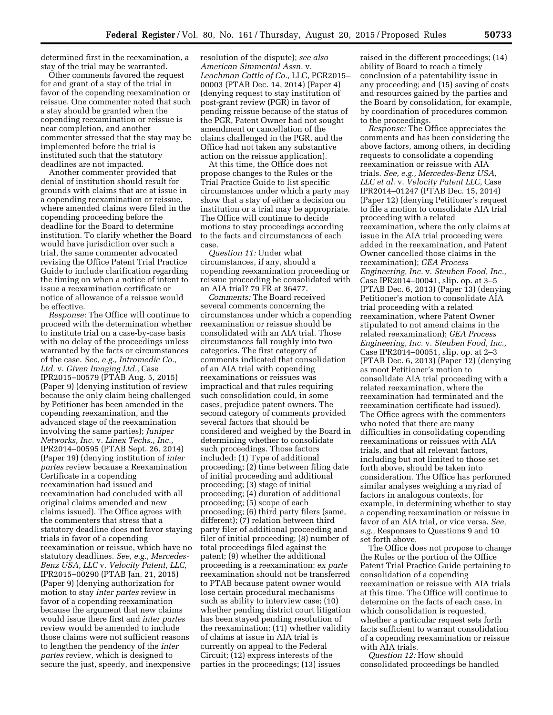determined first in the reexamination, a stay of the trial may be warranted.

Other comments favored the request for and grant of a stay of the trial in favor of the copending reexamination or reissue. One commenter noted that such a stay should be granted when the copending reexamination or reissue is near completion, and another commenter stressed that the stay may be implemented before the trial is instituted such that the statutory deadlines are not impacted.

Another commenter provided that denial of institution should result for grounds with claims that are at issue in a copending reexamination or reissue, where amended claims were filed in the copending proceeding before the deadline for the Board to determine institution. To clarify whether the Board would have jurisdiction over such a trial, the same commenter advocated revising the Office Patent Trial Practice Guide to include clarification regarding the timing on when a notice of intent to issue a reexamination certificate or notice of allowance of a reissue would be effective.

*Response:* The Office will continue to proceed with the determination whether to institute trial on a case-by-case basis with no delay of the proceedings unless warranted by the facts or circumstances of the case. *See, e.g., Intromedic Co., Ltd.* v. *Given Imaging Ltd.,* Case IPR2015–00579 (PTAB Aug. 5, 2015) (Paper 9) (denying institution of review because the only claim being challenged by Petitioner has been amended in the copending reexamination, and the advanced stage of the reexamination involving the same parties); *Juniper Networks, Inc.* v. *Linex Techs., Inc.,*  IPR2014–00595 (PTAB Sept. 26, 2014) (Paper 19) (denying institution of *inter partes* review because a Reexamination Certificate in a copending reexamination had issued and reexamination had concluded with all original claims amended and new claims issued). The Office agrees with the commenters that stress that a statutory deadline does not favor staying trials in favor of a copending reexamination or reissue, which have no statutory deadlines. *See, e.g., Mercedes-Benz USA, LLC* v. *Velocity Patent, LLC,*  IPR2015–00290 (PTAB Jan. 21, 2015) (Paper 9) (denying authorization for motion to stay *inter partes* review in favor of a copending reexamination because the argument that new claims would issue there first and *inter partes*  review would be amended to include those claims were not sufficient reasons to lengthen the pendency of the *inter partes* review, which is designed to secure the just, speedy, and inexpensive

resolution of the dispute); *see also American Simmental Assn.* v. *Leachman Cattle of Co.,* LLC, PGR2015– 00003 (PTAB Dec. 14, 2014) (Paper 4) (denying request to stay institution of post-grant review (PGR) in favor of pending reissue because of the status of the PGR, Patent Owner had not sought amendment or cancellation of the claims challenged in the PGR, and the Office had not taken any substantive action on the reissue application).

At this time, the Office does not propose changes to the Rules or the Trial Practice Guide to list specific circumstances under which a party may show that a stay of either a decision on institution or a trial may be appropriate. The Office will continue to decide motions to stay proceedings according to the facts and circumstances of each case.

*Question 11:* Under what circumstances, if any, should a copending reexamination proceeding or reissue proceeding be consolidated with an AIA trial? 79 FR at 36477.

*Comments:* The Board received several comments concerning the circumstances under which a copending reexamination or reissue should be consolidated with an AIA trial. Those circumstances fall roughly into two categories. The first category of comments indicated that consolidation of an AIA trial with copending reexaminations or reissues was impractical and that rules requiring such consolidation could, in some cases, prejudice patent owners. The second category of comments provided several factors that should be considered and weighed by the Board in determining whether to consolidate such proceedings. Those factors included: (1) Type of additional proceeding; (2) time between filing date of initial proceeding and additional proceeding; (3) stage of initial proceeding; (4) duration of additional proceeding; (5) scope of each proceeding; (6) third party filers (same, different); (7) relation between third party filer of additional proceeding and filer of initial proceeding; (8) number of total proceedings filed against the patent; (9) whether the additional proceeding is a reexamination: *ex parte*  reexamination should not be transferred to PTAB because patent owner would lose certain procedural mechanisms such as ability to interview case; (10) whether pending district court litigation has been stayed pending resolution of the reexamination; (11) whether validity of claims at issue in AIA trial is currently on appeal to the Federal Circuit; (12) express interests of the parties in the proceedings; (13) issues

raised in the different proceedings; (14) ability of Board to reach a timely conclusion of a patentability issue in any proceeding; and (15) saving of costs and resources gained by the parties and the Board by consolidation, for example, by coordination of procedures common to the proceedings.

*Response:* The Office appreciates the comments and has been considering the above factors, among others, in deciding requests to consolidate a copending reexamination or reissue with AIA trials. *See, e.g., Mercedes-Benz USA, LLC et al.* v. *Velocity Patent LLC,* Case IPR2014–01247 (PTAB Dec. 15, 2014) (Paper 12) (denying Petitioner's request to file a motion to consolidate AIA trial proceeding with a related reexamination, where the only claims at issue in the AIA trial proceeding were added in the reexamination, and Patent Owner cancelled those claims in the reexamination); *GEA Process Engineering, Inc.* v. *Steuben Food, Inc.,*  Case IPR2014–00041, slip. op. at 3–5 (PTAB Dec. 6, 2013) (Paper 13) (denying Petitioner's motion to consolidate AIA trial proceeding with a related reexamination, where Patent Owner stipulated to not amend claims in the related reexamination); *GEA Process Engineering, Inc.* v. *Steuben Food, Inc.,*  Case IPR2014–00051, slip. op. at 2–3 (PTAB Dec. 6, 2013) (Paper 12) (denying as moot Petitioner's motion to consolidate AIA trial proceeding with a related reexamination, where the reexamination had terminated and the reexamination certificate had issued). The Office agrees with the commenters who noted that there are many difficulties in consolidating copending reexaminations or reissues with AIA trials, and that all relevant factors, including but not limited to those set forth above, should be taken into consideration. The Office has performed similar analyses weighing a myriad of factors in analogous contexts, for example, in determining whether to stay a copending reexamination or reissue in favor of an AIA trial, or vice versa. *See, e.g.,* Responses to Questions 9 and 10 set forth above.

The Office does not propose to change the Rules or the portion of the Office Patent Trial Practice Guide pertaining to consolidation of a copending reexamination or reissue with AIA trials at this time. The Office will continue to determine on the facts of each case, in which consolidation is requested, whether a particular request sets forth facts sufficient to warrant consolidation of a copending reexamination or reissue with AIA trials.

*Question 12:* How should consolidated proceedings be handled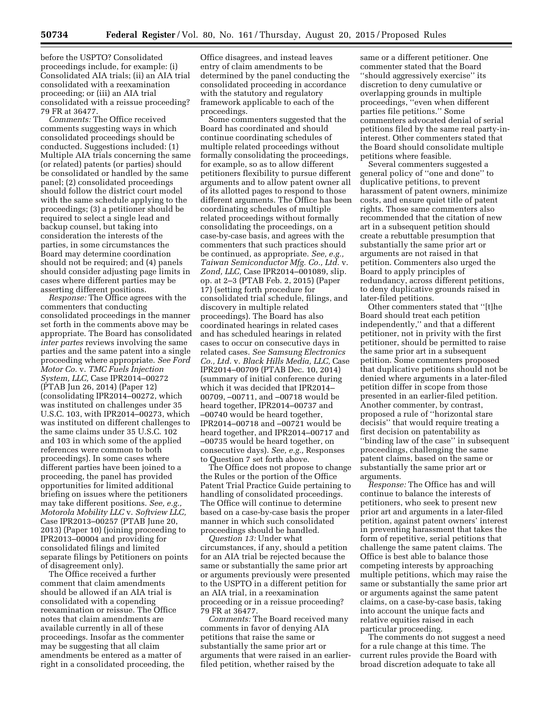before the USPTO? Consolidated proceedings include, for example: (i) Consolidated AIA trials; (ii) an AIA trial consolidated with a reexamination proceeding; or (iii) an AIA trial consolidated with a reissue proceeding? 79 FR at 36477.

*Comments:* The Office received comments suggesting ways in which consolidated proceedings should be conducted. Suggestions included: (1) Multiple AIA trials concerning the same (or related) patents (or parties) should be consolidated or handled by the same panel; (2) consolidated proceedings should follow the district court model with the same schedule applying to the proceedings; (3) a petitioner should be required to select a single lead and backup counsel, but taking into consideration the interests of the parties, in some circumstances the Board may determine coordination should not be required; and (4) panels should consider adjusting page limits in cases where different parties may be asserting different positions.

*Response:* The Office agrees with the commenters that conducting consolidated proceedings in the manner set forth in the comments above may be appropriate. The Board has consolidated *inter partes* reviews involving the same parties and the same patent into a single proceeding where appropriate. *See Ford Motor Co.* v. *TMC Fuels Injection System, LLC,* Case IPR2014–00272 (PTAB Jun 26, 2014) (Paper 12) (consolidating IPR2014–00272, which was instituted on challenges under 35 U.S.C. 103, with IPR2014–00273, which was instituted on different challenges to the same claims under 35 U.S.C. 102 and 103 in which some of the applied references were common to both proceedings). In some cases where different parties have been joined to a proceeding, the panel has provided opportunities for limited additional briefing on issues where the petitioners may take different positions. *See, e.g., Motorola Mobility LLC* v. *Softview LLC,*  Case IPR2013–00257 (PTAB June 20, 2013) (Paper 10) (joining proceeding to IPR2013–00004 and providing for consolidated filings and limited separate filings by Petitioners on points of disagreement only).

The Office received a further comment that claim amendments should be allowed if an AIA trial is consolidated with a copending reexamination or reissue. The Office notes that claim amendments are available currently in all of these proceedings. Insofar as the commenter may be suggesting that all claim amendments be entered as a matter of right in a consolidated proceeding, the

Office disagrees, and instead leaves entry of claim amendments to be determined by the panel conducting the consolidated proceeding in accordance with the statutory and regulatory framework applicable to each of the proceedings.

Some commenters suggested that the Board has coordinated and should continue coordinating schedules of multiple related proceedings without formally consolidating the proceedings, for example, so as to allow different petitioners flexibility to pursue different arguments and to allow patent owner all of its allotted pages to respond to those different arguments. The Office has been coordinating schedules of multiple related proceedings without formally consolidating the proceedings, on a case-by-case basis, and agrees with the commenters that such practices should be continued, as appropriate. *See, e.g., Taiwan Semiconductor Mfg. Co., Ltd.* v. *Zond, LLC,* Case IPR2014–001089, slip. op. at 2–3 (PTAB Feb. 2, 2015) (Paper 17) (setting forth procedure for consolidated trial schedule, filings, and discovery in multiple related proceedings). The Board has also coordinated hearings in related cases and has scheduled hearings in related cases to occur on consecutive days in related cases. *See Samsung Electronics Co., Ltd.* v. *Black Hills Media, LLC,* Case IPR2014–00709 (PTAB Dec. 10, 2014) (summary of initial conference during which it was decided that IPR2014– 00709, –00711, and –00718 would be heard together, IPR2014–00737 and –00740 would be heard together, IPR2014–00718 and –00721 would be heard together, and IPR2014–00717 and –00735 would be heard together, on consecutive days). *See, e.g.,* Responses to Question 7 set forth above.

The Office does not propose to change the Rules or the portion of the Office Patent Trial Practice Guide pertaining to handling of consolidated proceedings. The Office will continue to determine based on a case-by-case basis the proper manner in which such consolidated proceedings should be handled.

*Question 13:* Under what circumstances, if any, should a petition for an AIA trial be rejected because the same or substantially the same prior art or arguments previously were presented to the USPTO in a different petition for an AIA trial, in a reexamination proceeding or in a reissue proceeding? 79 FR at 36477.

*Comments:* The Board received many comments in favor of denying AIA petitions that raise the same or substantially the same prior art or arguments that were raised in an earlierfiled petition, whether raised by the

same or a different petitioner. One commenter stated that the Board ''should aggressively exercise'' its discretion to deny cumulative or overlapping grounds in multiple proceedings, ''even when different parties file petitions.'' Some commenters advocated denial of serial petitions filed by the same real party-ininterest. Other commenters stated that the Board should consolidate multiple petitions where feasible.

Several commenters suggested a general policy of ''one and done'' to duplicative petitions, to prevent harassment of patent owners, minimize costs, and ensure quiet title of patent rights. Those same commenters also recommended that the citation of new art in a subsequent petition should create a rebuttable presumption that substantially the same prior art or arguments are not raised in that petition. Commenters also urged the Board to apply principles of redundancy, across different petitions, to deny duplicative grounds raised in later-filed petitions.

Other commenters stated that ''[t]he Board should treat each petition independently,'' and that a different petitioner, not in privity with the first petitioner, should be permitted to raise the same prior art in a subsequent petition. Some commenters proposed that duplicative petitions should not be denied where arguments in a later-filed petition differ in scope from those presented in an earlier-filed petition. Another commenter, by contrast, proposed a rule of ''horizontal stare decisis'' that would require treating a first decision on patentability as ''binding law of the case'' in subsequent proceedings, challenging the same patent claims, based on the same or substantially the same prior art or arguments.

*Response:* The Office has and will continue to balance the interests of petitioners, who seek to present new prior art and arguments in a later-filed petition, against patent owners' interest in preventing harassment that takes the form of repetitive, serial petitions that challenge the same patent claims. The Office is best able to balance those competing interests by approaching multiple petitions, which may raise the same or substantially the same prior art or arguments against the same patent claims, on a case-by-case basis, taking into account the unique facts and relative equities raised in each particular proceeding.

The comments do not suggest a need for a rule change at this time. The current rules provide the Board with broad discretion adequate to take all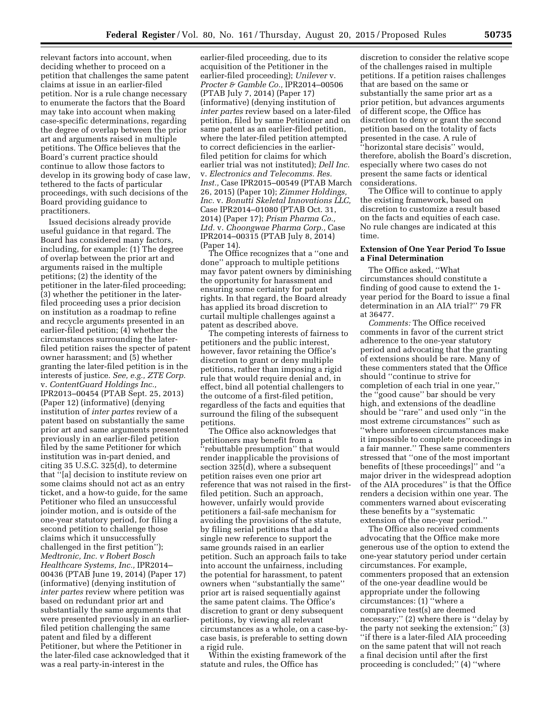relevant factors into account, when deciding whether to proceed on a petition that challenges the same patent claims at issue in an earlier-filed petition. Nor is a rule change necessary to enumerate the factors that the Board may take into account when making case-specific determinations, regarding the degree of overlap between the prior art and arguments raised in multiple petitions. The Office believes that the Board's current practice should continue to allow those factors to develop in its growing body of case law, tethered to the facts of particular proceedings, with such decisions of the Board providing guidance to practitioners.

Issued decisions already provide useful guidance in that regard. The Board has considered many factors, including, for example: (1) The degree of overlap between the prior art and arguments raised in the multiple petitions; (2) the identity of the petitioner in the later-filed proceeding; (3) whether the petitioner in the laterfiled proceeding uses a prior decision on institution as a roadmap to refine and recycle arguments presented in an earlier-filed petition; (4) whether the circumstances surrounding the laterfiled petition raises the specter of patent owner harassment; and (5) whether granting the later-filed petition is in the interests of justice. *See, e.g., ZTE Corp.*  v. *ContentGuard Holdings Inc.,*  IPR2013–00454 (PTAB Sept. 25, 2013) (Paper 12) (informative) (denying institution of *inter partes* review of a patent based on substantially the same prior art and same arguments presented previously in an earlier-filed petition filed by the same Petitioner for which institution was in-part denied, and citing 35 U.S.C. 325(d), to determine that ''[a] decision to institute review on some claims should not act as an entry ticket, and a how-to guide, for the same Petitioner who filed an unsuccessful joinder motion, and is outside of the one-year statutory period, for filing a second petition to challenge those claims which it unsuccessfully challenged in the first petition''); *Medtronic, Inc. v Robert Bosch Healthcare Systems, Inc.,* IPR2014– 00436 (PTAB June 19, 2014) (Paper 17) (informative) (denying institution of *inter partes* review where petition was based on redundant prior art and substantially the same arguments that were presented previously in an earlierfiled petition challenging the same patent and filed by a different Petitioner, but where the Petitioner in the later-filed case acknowledged that it was a real party-in-interest in the

earlier-filed proceeding, due to its acquisition of the Petitioner in the earlier-filed proceeding); *Unilever* v. *Procter & Gamble Co.,* IPR2014–00506 (PTAB July 7, 2014) (Paper 17) (informative) (denying institution of *inter partes* review based on a later-filed petition, filed by same Petitioner and on same patent as an earlier-filed petition, where the later-filed petition attempted to correct deficiencies in the earlierfiled petition for claims for which earlier trial was not instituted); *Dell Inc.*  v. *Electronics and Telecomms. Res. Inst.,* Case IPR2015–00549 (PTAB March 26, 2015) (Paper 10); *Zimmer Holdings, Inc.* v. *Bonutti Skeletal Innovations LLC,*  Case IPR2014–01080 (PTAB Oct. 31, 2014) (Paper 17); *Prism Pharma Co., Ltd.* v. *Choongwae Pharma Corp.,* Case IPR2014–00315 (PTAB July 8, 2014) (Paper 14).

The Office recognizes that a ''one and done'' approach to multiple petitions may favor patent owners by diminishing the opportunity for harassment and ensuring some certainty for patent rights. In that regard, the Board already has applied its broad discretion to curtail multiple challenges against a patent as described above.

The competing interests of fairness to petitioners and the public interest, however, favor retaining the Office's discretion to grant or deny multiple petitions, rather than imposing a rigid rule that would require denial and, in effect, bind all potential challengers to the outcome of a first-filed petition, regardless of the facts and equities that surround the filing of the subsequent petitions.

The Office also acknowledges that petitioners may benefit from a ''rebuttable presumption'' that would render inapplicable the provisions of section 325(d), where a subsequent petition raises even one prior art reference that was not raised in the firstfiled petition. Such an approach, however, unfairly would provide petitioners a fail-safe mechanism for avoiding the provisions of the statute, by filing serial petitions that add a single new reference to support the same grounds raised in an earlier petition. Such an approach fails to take into account the unfairness, including the potential for harassment, to patent owners when ''substantially the same'' prior art is raised sequentially against the same patent claims. The Office's discretion to grant or deny subsequent petitions, by viewing all relevant circumstances as a whole, on a case-bycase basis, is preferable to setting down a rigid rule.

Within the existing framework of the statute and rules, the Office has

discretion to consider the relative scope of the challenges raised in multiple petitions. If a petition raises challenges that are based on the same or substantially the same prior art as a prior petition, but advances arguments of different scope, the Office has discretion to deny or grant the second petition based on the totality of facts presented in the case. A rule of ''horizontal stare decisis'' would, therefore, abolish the Board's discretion, especially where two cases do not present the same facts or identical considerations.

The Office will to continue to apply the existing framework, based on discretion to customize a result based on the facts and equities of each case. No rule changes are indicated at this time.

#### **Extension of One Year Period To Issue a Final Determination**

The Office asked, ''What circumstances should constitute a finding of good cause to extend the 1 year period for the Board to issue a final determination in an AIA trial?'' 79 FR at 36477.

*Comments:* The Office received comments in favor of the current strict adherence to the one-year statutory period and advocating that the granting of extensions should be rare. Many of these commenters stated that the Office should ''continue to strive for completion of each trial in one year,'' the ''good cause'' bar should be very high, and extensions of the deadline should be ''rare'' and used only ''in the most extreme circumstances'' such as ''where unforeseen circumstances make it impossible to complete proceedings in a fair manner.'' These same commenters stressed that ''one of the most important benefits of [these proceedings]'' and ''a major driver in the widespread adoption of the AIA procedures'' is that the Office renders a decision within one year. The commenters warned about eviscerating these benefits by a ''systematic extension of the one-year period.''

The Office also received comments advocating that the Office make more generous use of the option to extend the one-year statutory period under certain circumstances. For example, commenters proposed that an extension of the one-year deadline would be appropriate under the following circumstances: (1) ''where a comparative test(s) are deemed necessary;'' (2) where there is ''delay by the party not seeking the extension;'' (3) ''if there is a later-filed AIA proceeding on the same patent that will not reach a final decision until after the first proceeding is concluded;'' (4) ''where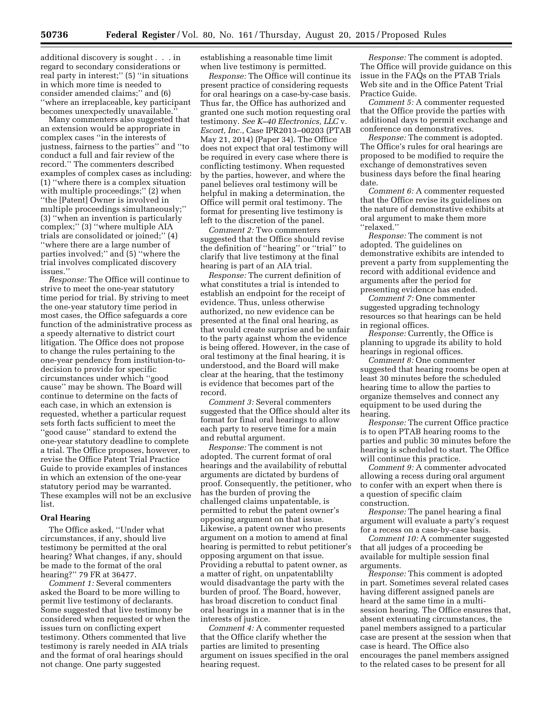additional discovery is sought . . . in regard to secondary considerations or real party in interest;'' (5) ''in situations in which more time is needed to consider amended claims;'' and (6) ''where an irreplaceable, key participant becomes unexpectedly unavailable.''

Many commenters also suggested that an extension would be appropriate in complex cases ''in the interests of justness, fairness to the parties'' and ''to conduct a full and fair review of the record.'' The commenters described examples of complex cases as including: (1) ''where there is a complex situation with multiple proceedings;'' (2) when ''the [Patent] Owner is involved in multiple proceedings simultaneously;'' (3) ''when an invention is particularly complex;'' (3) ''where multiple AIA trials are consolidated or joined;'' (4) ''where there are a large number of parties involved;'' and (5) ''where the trial involves complicated discovery issues.''

*Response:* The Office will continue to strive to meet the one-year statutory time period for trial. By striving to meet the one-year statutory time period in most cases, the Office safeguards a core function of the administrative process as a speedy alternative to district court litigation. The Office does not propose to change the rules pertaining to the one-year pendency from institution-todecision to provide for specific circumstances under which ''good cause'' may be shown. The Board will continue to determine on the facts of each case, in which an extension is requested, whether a particular request sets forth facts sufficient to meet the ''good cause'' standard to extend the one-year statutory deadline to complete a trial. The Office proposes, however, to revise the Office Patent Trial Practice Guide to provide examples of instances in which an extension of the one-year statutory period may be warranted. These examples will not be an exclusive list.

#### **Oral Hearing**

The Office asked, ''Under what circumstances, if any, should live testimony be permitted at the oral hearing? What changes, if any, should be made to the format of the oral hearing?'' 79 FR at 36477.

*Comment 1:* Several commenters asked the Board to be more willing to permit live testimony of declarants. Some suggested that live testimony be considered when requested or when the issues turn on conflicting expert testimony. Others commented that live testimony is rarely needed in AIA trials and the format of oral hearings should not change. One party suggested

establishing a reasonable time limit when live testimony is permitted.

*Response:* The Office will continue its present practice of considering requests for oral hearings on a case-by-case basis. Thus far, the Office has authorized and granted one such motion requesting oral testimony. *See K–40 Electronics, LLC* v. *Escort, Inc.,* Case IPR2013–00203 (PTAB May 21, 2014) (Paper 34). The Office does not expect that oral testimony will be required in every case where there is conflicting testimony. When requested by the parties, however, and where the panel believes oral testimony will be helpful in making a determination, the Office will permit oral testimony. The format for presenting live testimony is left to the discretion of the panel.

*Comment 2:* Two commenters suggested that the Office should revise the definition of ''hearing'' or ''trial'' to clarify that live testimony at the final hearing is part of an AIA trial.

*Response:* The current definition of what constitutes a trial is intended to establish an endpoint for the receipt of evidence. Thus, unless otherwise authorized, no new evidence can be presented at the final oral hearing, as that would create surprise and be unfair to the party against whom the evidence is being offered. However, in the case of oral testimony at the final hearing, it is understood, and the Board will make clear at the hearing, that the testimony is evidence that becomes part of the record.

*Comment 3:* Several commenters suggested that the Office should alter its format for final oral hearings to allow each party to reserve time for a main and rebuttal argument.

*Response:* The comment is not adopted. The current format of oral hearings and the availability of rebuttal arguments are dictated by burdens of proof. Consequently, the petitioner, who has the burden of proving the challenged claims unpatentable, is permitted to rebut the patent owner's opposing argument on that issue. Likewise, a patent owner who presents argument on a motion to amend at final hearing is permitted to rebut petitioner's opposing argument on that issue. Providing a rebuttal to patent owner, as a matter of right, on unpatentablilty would disadvantage the party with the burden of proof. The Board, however, has broad discretion to conduct final oral hearings in a manner that is in the interests of justice.

*Comment 4:* A commenter requested that the Office clarify whether the parties are limited to presenting argument on issues specified in the oral hearing request.

*Response:* The comment is adopted. The Office will provide guidance on this issue in the FAQs on the PTAB Trials Web site and in the Office Patent Trial Practice Guide.

*Comment 5:* A commenter requested that the Office provide the parties with additional days to permit exchange and conference on demonstratives.

*Response:* The comment is adopted. The Office's rules for oral hearings are proposed to be modified to require the exchange of demonstratives seven business days before the final hearing date.

*Comment 6:* A commenter requested that the Office revise its guidelines on the nature of demonstrative exhibits at oral argument to make them more ''relaxed.''

*Response:* The comment is not adopted. The guidelines on demonstrative exhibits are intended to prevent a party from supplementing the record with additional evidence and arguments after the period for presenting evidence has ended.

*Comment 7:* One commenter suggested upgrading technology resources so that hearings can be held in regional offices.

*Response:* Currently, the Office is planning to upgrade its ability to hold hearings in regional offices.

*Comment 8:* One commenter suggested that hearing rooms be open at least 30 minutes before the scheduled hearing time to allow the parties to organize themselves and connect any equipment to be used during the hearing.

*Response:* The current Office practice is to open PTAB hearing rooms to the parties and public 30 minutes before the hearing is scheduled to start. The Office will continue this practice.

*Comment 9:* A commenter advocated allowing a recess during oral argument to confer with an expert when there is a question of specific claim construction.

*Response:* The panel hearing a final argument will evaluate a party's request for a recess on a case-by-case basis.

*Comment 10:* A commenter suggested that all judges of a proceeding be available for multiple session final arguments.

*Response:* This comment is adopted in part. Sometimes several related cases having different assigned panels are heard at the same time in a multisession hearing. The Office ensures that, absent extenuating circumstances, the panel members assigned to a particular case are present at the session when that case is heard. The Office also encourages the panel members assigned to the related cases to be present for all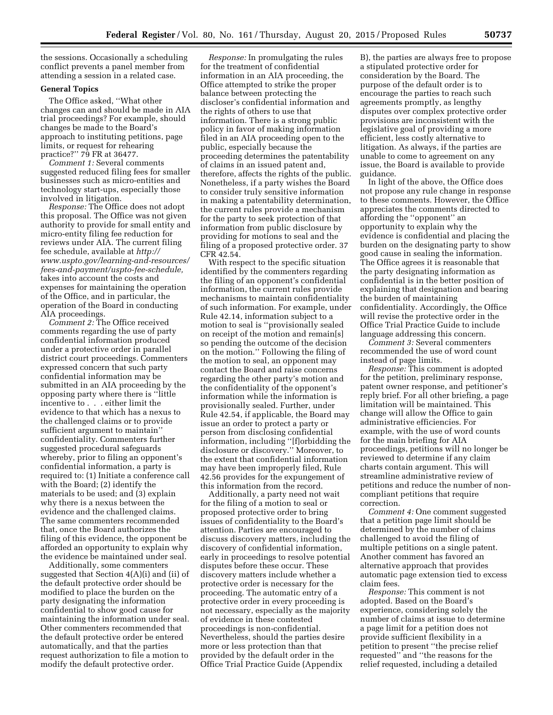the sessions. Occasionally a scheduling conflict prevents a panel member from attending a session in a related case.

## **General Topics**

The Office asked, ''What other changes can and should be made in AIA trial proceedings? For example, should changes be made to the Board's approach to instituting petitions, page limits, or request for rehearing practice?'' 79 FR at 36477.

*Comment 1:* Several comments suggested reduced filing fees for smaller businesses such as micro-entities and technology start-ups, especially those involved in litigation.

*Response:* The Office does not adopt this proposal. The Office was not given authority to provide for small entity and micro-entity filing fee reduction for reviews under AIA. The current filing fee schedule, available at *[http://](http://www.uspto.gov/learning-and-resources/fees-and-payment/uspto-fee-schedule) [www.uspto.gov/learning-and-resources/](http://www.uspto.gov/learning-and-resources/fees-and-payment/uspto-fee-schedule) [fees-and-payment/uspto-fee-schedule,](http://www.uspto.gov/learning-and-resources/fees-and-payment/uspto-fee-schedule)*  takes into account the costs and expenses for maintaining the operation of the Office, and in particular, the operation of the Board in conducting AIA proceedings.

*Comment 2:* The Office received comments regarding the use of party confidential information produced under a protective order in parallel district court proceedings. Commenters expressed concern that such party confidential information may be submitted in an AIA proceeding by the opposing party where there is ''little incentive to . . . either limit the evidence to that which has a nexus to the challenged claims or to provide sufficient argument to maintain'' confidentiality. Commenters further suggested procedural safeguards whereby, prior to filing an opponent's confidential information, a party is required to: (1) Initiate a conference call with the Board; (2) identify the materials to be used; and (3) explain why there is a nexus between the evidence and the challenged claims. The same commenters recommended that, once the Board authorizes the filing of this evidence, the opponent be afforded an opportunity to explain why the evidence be maintained under seal.

Additionally, some commenters suggested that Section 4(A)(i) and (ii) of the default protective order should be modified to place the burden on the party designating the information confidential to show good cause for maintaining the information under seal. Other commenters recommended that the default protective order be entered automatically, and that the parties request authorization to file a motion to modify the default protective order.

*Response:* In promulgating the rules for the treatment of confidential information in an AIA proceeding, the Office attempted to strike the proper balance between protecting the discloser's confidential information and the rights of others to use that information. There is a strong public policy in favor of making information filed in an AIA proceeding open to the public, especially because the proceeding determines the patentability of claims in an issued patent and, therefore, affects the rights of the public. Nonetheless, if a party wishes the Board to consider truly sensitive information in making a patentability determination, the current rules provide a mechanism for the party to seek protection of that information from public disclosure by providing for motions to seal and the filing of a proposed protective order. 37 CFR 42.54.

With respect to the specific situation identified by the commenters regarding the filing of an opponent's confidential information, the current rules provide mechanisms to maintain confidentiality of such information. For example, under Rule 42.14, information subject to a motion to seal is ''provisionally sealed on receipt of the motion and remain[s] so pending the outcome of the decision on the motion.'' Following the filing of the motion to seal, an opponent may contact the Board and raise concerns regarding the other party's motion and the confidentiality of the opponent's information while the information is provisionally sealed. Further, under Rule 42.54, if applicable, the Board may issue an order to protect a party or person from disclosing confidential information, including ''[f]orbidding the disclosure or discovery.'' Moreover, to the extent that confidential information may have been improperly filed, Rule 42.56 provides for the expungement of this information from the record.

Additionally, a party need not wait for the filing of a motion to seal or proposed protective order to bring issues of confidentiality to the Board's attention. Parties are encouraged to discuss discovery matters, including the discovery of confidential information, early in proceedings to resolve potential disputes before these occur. These discovery matters include whether a protective order is necessary for the proceeding. The automatic entry of a protective order in every proceeding is not necessary, especially as the majority of evidence in these contested proceedings is non-confidential. Nevertheless, should the parties desire more or less protection than that provided by the default order in the Office Trial Practice Guide (Appendix

B), the parties are always free to propose a stipulated protective order for consideration by the Board. The purpose of the default order is to encourage the parties to reach such agreements promptly, as lengthy disputes over complex protective order provisions are inconsistent with the legislative goal of providing a more efficient, less costly alternative to litigation. As always, if the parties are unable to come to agreement on any issue, the Board is available to provide guidance.

In light of the above, the Office does not propose any rule change in response to these comments. However, the Office appreciates the comments directed to affording the ''opponent'' an opportunity to explain why the evidence is confidential and placing the burden on the designating party to show good cause in sealing the information. The Office agrees it is reasonable that the party designating information as confidential is in the better position of explaining that designation and bearing the burden of maintaining confidentiality. Accordingly, the Office will revise the protective order in the Office Trial Practice Guide to include language addressing this concern.

*Comment 3:* Several commenters recommended the use of word count instead of page limits.

*Response:* This comment is adopted for the petition, preliminary response, patent owner response, and petitioner's reply brief. For all other briefing, a page limitation will be maintained. This change will allow the Office to gain administrative efficiencies. For example, with the use of word counts for the main briefing for AIA proceedings, petitions will no longer be reviewed to determine if any claim charts contain argument. This will streamline administrative review of petitions and reduce the number of noncompliant petitions that require correction.

*Comment 4:* One comment suggested that a petition page limit should be determined by the number of claims challenged to avoid the filing of multiple petitions on a single patent. Another comment has favored an alternative approach that provides automatic page extension tied to excess claim fees.

*Response:* This comment is not adopted. Based on the Board's experience, considering solely the number of claims at issue to determine a page limit for a petition does not provide sufficient flexibility in a petition to present ''the precise relief requested'' and ''the reasons for the relief requested, including a detailed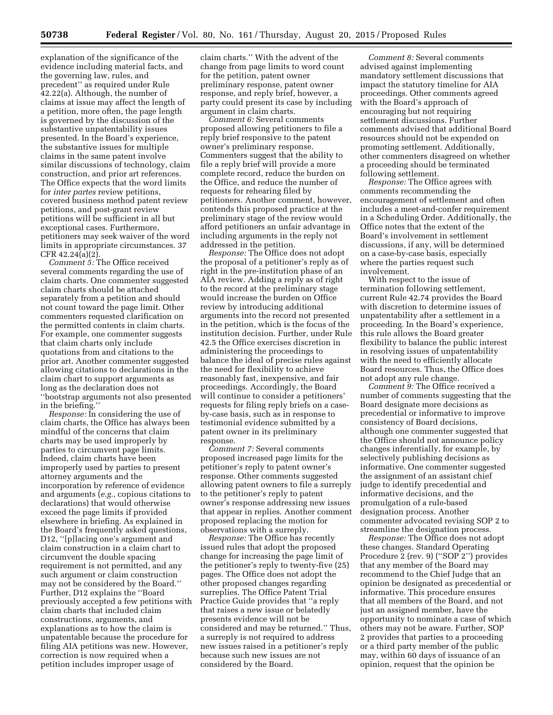explanation of the significance of the evidence including material facts, and the governing law, rules, and precedent'' as required under Rule 42.22(a). Although, the number of claims at issue may affect the length of a petition, more often, the page length is governed by the discussion of the substantive unpatentability issues presented. In the Board's experience, the substantive issues for multiple claims in the same patent involve similar discussions of technology, claim construction, and prior art references. The Office expects that the word limits for *inter partes* review petitions, covered business method patent review petitions, and post-grant review petitions will be sufficient in all but exceptional cases. Furthermore, petitioners may seek waiver of the word limits in appropriate circumstances. 37 CFR 42.24(a)(2).

*Comment 5:* The Office received several comments regarding the use of claim charts. One commenter suggested claim charts should be attached separately from a petition and should not count toward the page limit. Other commenters requested clarification on the permitted contents in claim charts. For example, one commenter suggests that claim charts only include quotations from and citations to the prior art. Another commenter suggested allowing citations to declarations in the claim chart to support arguments as long as the declaration does not ''bootstrap arguments not also presented in the briefing.''

*Response:* In considering the use of claim charts, the Office has always been mindful of the concerns that claim charts may be used improperly by parties to circumvent page limits. Indeed, claim charts have been improperly used by parties to present attorney arguments and the incorporation by reference of evidence and arguments (*e.g.,* copious citations to declarations) that would otherwise exceed the page limits if provided elsewhere in briefing. As explained in the Board's frequently asked questions, D12, ''[p]lacing one's argument and claim construction in a claim chart to circumvent the double spacing requirement is not permitted, and any such argument or claim construction may not be considered by the Board.'' Further, D12 explains the ''Board previously accepted a few petitions with claim charts that included claim constructions, arguments, and explanations as to how the claim is unpatentable because the procedure for filing AIA petitions was new. However, correction is now required when a petition includes improper usage of

claim charts.'' With the advent of the change from page limits to word count for the petition, patent owner preliminary response, patent owner response, and reply brief, however, a party could present its case by including argument in claim charts.

*Comment 6:* Several comments proposed allowing petitioners to file a reply brief responsive to the patent owner's preliminary response. Commenters suggest that the ability to file a reply brief will provide a more complete record, reduce the burden on the Office, and reduce the number of requests for rehearing filed by petitioners. Another comment, however, contends this proposed practice at the preliminary stage of the review would afford petitioners an unfair advantage in including arguments in the reply not addressed in the petition.

*Response:* The Office does not adopt the proposal of a petitioner's reply as of right in the pre-institution phase of an AIA review. Adding a reply as of right to the record at the preliminary stage would increase the burden on Office review by introducing additional arguments into the record not presented in the petition, which is the focus of the institution decision. Further, under Rule 42.5 the Office exercises discretion in administering the proceedings to balance the ideal of precise rules against the need for flexibility to achieve reasonably fast, inexpensive, and fair proceedings. Accordingly, the Board will continue to consider a petitioners' requests for filing reply briefs on a caseby-case basis, such as in response to testimonial evidence submitted by a patent owner in its preliminary response.

*Comment 7:* Several comments proposed increased page limits for the petitioner's reply to patent owner's response. Other comments suggested allowing patent owners to file a surreply to the petitioner's reply to patent owner's response addressing new issues that appear in replies. Another comment proposed replacing the motion for observations with a surreply.

*Response:* The Office has recently issued rules that adopt the proposed change for increasing the page limit of the petitioner's reply to twenty-five (25) pages. The Office does not adopt the other proposed changes regarding surreplies. The Office Patent Trial Practice Guide provides that ''a reply that raises a new issue or belatedly presents evidence will not be considered and may be returned.'' Thus, a surreply is not required to address new issues raised in a petitioner's reply because such new issues are not considered by the Board.

*Comment 8:* Several comments advised against implementing mandatory settlement discussions that impact the statutory timeline for AIA proceedings. Other comments agreed with the Board's approach of encouraging but not requiring settlement discussions. Further comments advised that additional Board resources should not be expended on promoting settlement. Additionally, other commenters disagreed on whether a proceeding should be terminated following settlement.

*Response:* The Office agrees with comments recommending the encouragement of settlement and often includes a meet-and-confer requirement in a Scheduling Order. Additionally, the Office notes that the extent of the Board's involvement in settlement discussions, if any, will be determined on a case-by-case basis, especially where the parties request such involvement.

With respect to the issue of termination following settlement, current Rule 42.74 provides the Board with discretion to determine issues of unpatentability after a settlement in a proceeding. In the Board's experience, this rule allows the Board greater flexibility to balance the public interest in resolving issues of unpatentability with the need to efficiently allocate Board resources. Thus, the Office does not adopt any rule change.

*Comment 9:* The Office received a number of comments suggesting that the Board designate more decisions as precedential or informative to improve consistency of Board decisions, although one commenter suggested that the Office should not announce policy changes inferentially, for example, by selectively publishing decisions as informative. One commenter suggested the assignment of an assistant chief judge to identify precedential and informative decisions, and the promulgation of a rule-based designation process. Another commenter advocated revising SOP 2 to streamline the designation process.

*Response:* The Office does not adopt these changes. Standard Operating Procedure 2 (rev. 9) (''SOP 2'') provides that any member of the Board may recommend to the Chief Judge that an opinion be designated as precedential or informative. This procedure ensures that all members of the Board, and not just an assigned member, have the opportunity to nominate a case of which others may not be aware. Further, SOP 2 provides that parties to a proceeding or a third party member of the public may, within 60 days of issuance of an opinion, request that the opinion be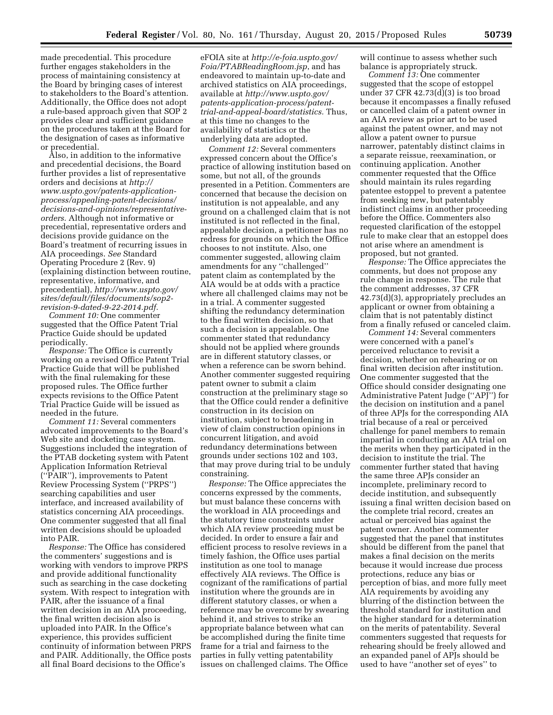made precedential. This procedure further engages stakeholders in the process of maintaining consistency at the Board by bringing cases of interest to stakeholders to the Board's attention. Additionally, the Office does not adopt a rule-based approach given that SOP 2 provides clear and sufficient guidance on the procedures taken at the Board for the designation of cases as informative or precedential.

Also, in addition to the informative and precedential decisions, the Board further provides a list of representative orders and decisions at *[http://](http://www.uspto.gov/patents-application-process/appealing-patent-decisions/decisions-and-opinions/representative-orders) www.uspto.gov/patents-applicationprocess/appealing-patent-decisions/ [decisions-and-opinions/representative](http://www.uspto.gov/patents-application-process/appealing-patent-decisions/decisions-and-opinions/representative-orders)[orders.](http://www.uspto.gov/patents-application-process/appealing-patent-decisions/decisions-and-opinions/representative-orders)* Although not informative or precedential, representative orders and decisions provide guidance on the Board's treatment of recurring issues in AIA proceedings. *See* Standard Operating Procedure 2 (Rev. 9) (explaining distinction between routine, representative, informative, and precedential), *[http://www.uspto.gov/](http://www.uspto.gov/sites/default/files/documents/sop2-revision-9-dated-9-22-2014.pdf) [sites/default/files/documents/sop2](http://www.uspto.gov/sites/default/files/documents/sop2-revision-9-dated-9-22-2014.pdf)  [revision-9-dated-9-22-2014.pdf.](http://www.uspto.gov/sites/default/files/documents/sop2-revision-9-dated-9-22-2014.pdf)* 

*Comment 10:* One commenter suggested that the Office Patent Trial Practice Guide should be updated periodically.

*Response:* The Office is currently working on a revised Office Patent Trial Practice Guide that will be published with the final rulemaking for these proposed rules. The Office further expects revisions to the Office Patent Trial Practice Guide will be issued as needed in the future.

*Comment 11:* Several commenters advocated improvements to the Board's Web site and docketing case system. Suggestions included the integration of the PTAB docketing system with Patent Application Information Retrieval (''PAIR''), improvements to Patent Review Processing System (''PRPS'') searching capabilities and user interface, and increased availability of statistics concerning AIA proceedings. One commenter suggested that all final written decisions should be uploaded into PAIR.

*Response:* The Office has considered the commenters' suggestions and is working with vendors to improve PRPS and provide additional functionality such as searching in the case docketing system. With respect to integration with PAIR, after the issuance of a final written decision in an AIA proceeding, the final written decision also is uploaded into PAIR. In the Office's experience, this provides sufficient continuity of information between PRPS and PAIR. Additionally, the Office posts all final Board decisions to the Office's

eFOIA site at *[http://e-foia.uspto.gov/](http://e-foia.uspto.gov/Foia/PTABReadingRoom.jsp) [Foia/PTABReadingRoom.jsp](http://e-foia.uspto.gov/Foia/PTABReadingRoom.jsp)*, and has endeavored to maintain up-to-date and archived statistics on AIA proceedings, available at *[http://www.uspto.gov/](http://www.uspto.gov/patents-application-process/patent-trial-and-appeal-board/statistics) [patents-application-process/patent](http://www.uspto.gov/patents-application-process/patent-trial-and-appeal-board/statistics)[trial-and-appeal-board/statistics.](http://www.uspto.gov/patents-application-process/patent-trial-and-appeal-board/statistics)* Thus, at this time no changes to the availability of statistics or the underlying data are adopted.

*Comment 12:* Several commenters expressed concern about the Office's practice of allowing institution based on some, but not all, of the grounds presented in a Petition. Commenters are concerned that because the decision on institution is not appealable, and any ground on a challenged claim that is not instituted is not reflected in the final, appealable decision, a petitioner has no redress for grounds on which the Office chooses to not institute. Also, one commenter suggested, allowing claim amendments for any ''challenged'' patent claim as contemplated by the AIA would be at odds with a practice where all challenged claims may not be in a trial. A commenter suggested shifting the redundancy determination to the final written decision, so that such a decision is appealable. One commenter stated that redundancy should not be applied where grounds are in different statutory classes, or when a reference can be sworn behind. Another commenter suggested requiring patent owner to submit a claim construction at the preliminary stage so that the Office could render a definitive construction in its decision on institution, subject to broadening in view of claim construction opinions in concurrent litigation, and avoid redundancy determinations between grounds under sections 102 and 103, that may prove during trial to be unduly constraining.

*Response:* The Office appreciates the concerns expressed by the comments, but must balance these concerns with the workload in AIA proceedings and the statutory time constraints under which AIA review proceeding must be decided. In order to ensure a fair and efficient process to resolve reviews in a timely fashion, the Office uses partial institution as one tool to manage effectively AIA reviews. The Office is cognizant of the ramifications of partial institution where the grounds are in different statutory classes, or when a reference may be overcome by swearing behind it, and strives to strike an appropriate balance between what can be accomplished during the finite time frame for a trial and fairness to the parties in fully vetting patentability issues on challenged claims. The Office

will continue to assess whether such balance is appropriately struck.

*Comment 13:* One commenter suggested that the scope of estoppel under 37 CFR  $42.73(d)(3)$  is too broad because it encompasses a finally refused or cancelled claim of a patent owner in an AIA review as prior art to be used against the patent owner, and may not allow a patent owner to pursue narrower, patentably distinct claims in a separate reissue, reexamination, or continuing application. Another commenter requested that the Office should maintain its rules regarding patentee estoppel to prevent a patentee from seeking new, but patentably indistinct claims in another proceeding before the Office. Commenters also requested clarification of the estoppel rule to make clear that an estoppel does not arise where an amendment is proposed, but not granted.

*Response:* The Office appreciates the comments, but does not propose any rule change in response. The rule that the comment addresses, 37 CFR 42.73(d)(3), appropriately precludes an applicant or owner from obtaining a claim that is not patentably distinct from a finally refused or canceled claim.

*Comment 14:* Several commenters were concerned with a panel's perceived reluctance to revisit a decision, whether on rehearing or on final written decision after institution. One commenter suggested that the Office should consider designating one Administrative Patent Judge (''APJ'') for the decision on institution and a panel of three APJs for the corresponding AIA trial because of a real or perceived challenge for panel members to remain impartial in conducting an AIA trial on the merits when they participated in the decision to institute the trial. The commenter further stated that having the same three APJs consider an incomplete, preliminary record to decide institution, and subsequently issuing a final written decision based on the complete trial record, creates an actual or perceived bias against the patent owner. Another commenter suggested that the panel that institutes should be different from the panel that makes a final decision on the merits because it would increase due process protections, reduce any bias or perception of bias, and more fully meet AIA requirements by avoiding any blurring of the distinction between the threshold standard for institution and the higher standard for a determination on the merits of patentability. Several commenters suggested that requests for rehearing should be freely allowed and an expanded panel of APJs should be used to have ''another set of eyes'' to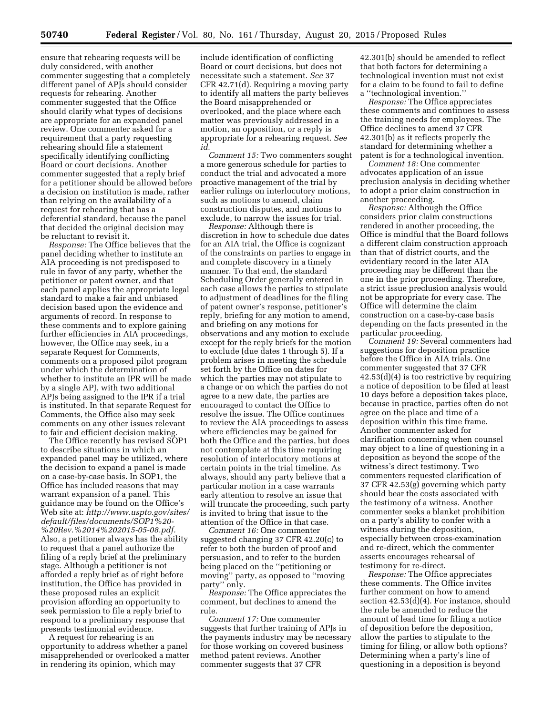ensure that rehearing requests will be duly considered, with another commenter suggesting that a completely different panel of APJs should consider requests for rehearing. Another commenter suggested that the Office should clarify what types of decisions are appropriate for an expanded panel review. One commenter asked for a requirement that a party requesting rehearing should file a statement specifically identifying conflicting Board or court decisions. Another commenter suggested that a reply brief for a petitioner should be allowed before a decision on institution is made, rather than relying on the availability of a request for rehearing that has a deferential standard, because the panel that decided the original decision may be reluctant to revisit it.

*Response:* The Office believes that the panel deciding whether to institute an AIA proceeding is not predisposed to rule in favor of any party, whether the petitioner or patent owner, and that each panel applies the appropriate legal standard to make a fair and unbiased decision based upon the evidence and arguments of record. In response to these comments and to explore gaining further efficiencies in AIA proceedings, however, the Office may seek, in a separate Request for Comments, comments on a proposed pilot program under which the determination of whether to institute an IPR will be made by a single APJ, with two additional APJs being assigned to the IPR if a trial is instituted. In that separate Request for Comments, the Office also may seek comments on any other issues relevant to fair and efficient decision making.

The Office recently has revised SOP1 to describe situations in which an expanded panel may be utilized, where the decision to expand a panel is made on a case-by-case basis. In SOP1, the Office has included reasons that may warrant expansion of a panel. This guidance may be found on the Office's Web site at: *[http://www.uspto.gov/sites/](http://www.uspto.gov/sites/default/files/documents/SOP1%20-%20Rev.%2014%202015-05-08.pdf)  [default/files/documents/SOP1%20-](http://www.uspto.gov/sites/default/files/documents/SOP1%20-%20Rev.%2014%202015-05-08.pdf)  [%20Rev.%2014%202015-05-08.pdf.](http://www.uspto.gov/sites/default/files/documents/SOP1%20-%20Rev.%2014%202015-05-08.pdf)*  Also, a petitioner always has the ability to request that a panel authorize the filing of a reply brief at the preliminary stage. Although a petitioner is not afforded a reply brief as of right before institution, the Office has provided in these proposed rules an explicit provision affording an opportunity to seek permission to file a reply brief to respond to a preliminary response that presents testimonial evidence.

A request for rehearing is an opportunity to address whether a panel misapprehended or overlooked a matter in rendering its opinion, which may

include identification of conflicting Board or court decisions, but does not necessitate such a statement. *See* 37 CFR 42.71(d). Requiring a moving party to identify all matters the party believes the Board misapprehended or overlooked, and the place where each matter was previously addressed in a motion, an opposition, or a reply is appropriate for a rehearing request. *See id.* 

*Comment 15:* Two commenters sought a more generous schedule for parties to conduct the trial and advocated a more proactive management of the trial by earlier rulings on interlocutory motions, such as motions to amend, claim construction disputes, and motions to exclude, to narrow the issues for trial.

*Response:* Although there is discretion in how to schedule due dates for an AIA trial, the Office is cognizant of the constraints on parties to engage in and complete discovery in a timely manner. To that end, the standard Scheduling Order generally entered in each case allows the parties to stipulate to adjustment of deadlines for the filing of patent owner's response, petitioner's reply, briefing for any motion to amend, and briefing on any motions for observations and any motion to exclude except for the reply briefs for the motion to exclude (due dates 1 through 5). If a problem arises in meeting the schedule set forth by the Office on dates for which the parties may not stipulate to a change or on which the parties do not agree to a new date, the parties are encouraged to contact the Office to resolve the issue. The Office continues to review the AIA proceedings to assess where efficiencies may be gained for both the Office and the parties, but does not contemplate at this time requiring resolution of interlocutory motions at certain points in the trial timeline. As always, should any party believe that a particular motion in a case warrants early attention to resolve an issue that will truncate the proceeding, such party is invited to bring that issue to the attention of the Office in that case.

*Comment 16:* One commenter suggested changing 37 CFR 42.20(c) to refer to both the burden of proof and persuasion, and to refer to the burden being placed on the ''petitioning or moving'' party, as opposed to ''moving party'' only.

*Response:* The Office appreciates the comment, but declines to amend the rule.

*Comment 17:* One commenter suggests that further training of APJs in the payments industry may be necessary for those working on covered business method patent reviews. Another commenter suggests that 37 CFR

42.301(b) should be amended to reflect that both factors for determining a technological invention must not exist for a claim to be found to fail to define a ''technological invention.''

*Response:* The Office appreciates these comments and continues to assess the training needs for employees. The Office declines to amend 37 CFR 42.301(b) as it reflects properly the standard for determining whether a patent is for a technological invention.

*Comment 18:* One commenter advocates application of an issue preclusion analysis in deciding whether to adopt a prior claim construction in another proceeding.

*Response:* Although the Office considers prior claim constructions rendered in another proceeding, the Office is mindful that the Board follows a different claim construction approach than that of district courts, and the evidentiary record in the later AIA proceeding may be different than the one in the prior proceeding. Therefore, a strict issue preclusion analysis would not be appropriate for every case. The Office will determine the claim construction on a case-by-case basis depending on the facts presented in the particular proceeding.

*Comment 19:* Several commenters had suggestions for deposition practice before the Office in AIA trials. One commenter suggested that 37 CFR 42.53(d)(4) is too restrictive by requiring a notice of deposition to be filed at least 10 days before a deposition takes place, because in practice, parties often do not agree on the place and time of a deposition within this time frame. Another commenter asked for clarification concerning when counsel may object to a line of questioning in a deposition as beyond the scope of the witness's direct testimony. Two commenters requested clarification of 37 CFR 42.53(g) governing which party should bear the costs associated with the testimony of a witness. Another commenter seeks a blanket prohibition on a party's ability to confer with a witness during the deposition, especially between cross-examination and re-direct, which the commenter asserts encourages rehearsal of testimony for re-direct.

*Response:* The Office appreciates these comments. The Office invites further comment on how to amend section 42.53(d)(4). For instance, should the rule be amended to reduce the amount of lead time for filing a notice of deposition before the deposition, allow the parties to stipulate to the timing for filing, or allow both options? Determining when a party's line of questioning in a deposition is beyond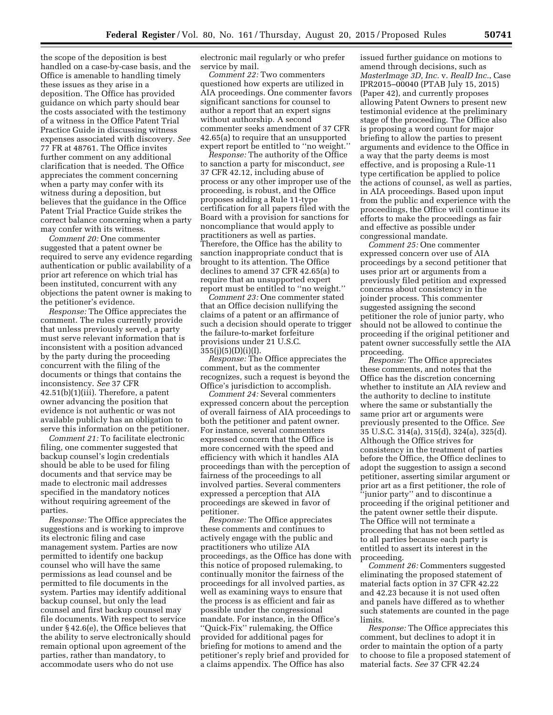the scope of the deposition is best handled on a case-by-case basis, and the Office is amenable to handling timely these issues as they arise in a deposition. The Office has provided guidance on which party should bear the costs associated with the testimony of a witness in the Office Patent Trial Practice Guide in discussing witness expenses associated with discovery. *See*  77 FR at 48761. The Office invites further comment on any additional clarification that is needed. The Office appreciates the comment concerning when a party may confer with its witness during a deposition, but believes that the guidance in the Office Patent Trial Practice Guide strikes the correct balance concerning when a party may confer with its witness.

*Comment 20:* One commenter suggested that a patent owner be required to serve any evidence regarding authentication or public availability of a prior art reference on which trial has been instituted, concurrent with any objections the patent owner is making to the petitioner's evidence.

*Response:* The Office appreciates the comment. The rules currently provide that unless previously served, a party must serve relevant information that is inconsistent with a position advanced by the party during the proceeding concurrent with the filing of the documents or things that contains the inconsistency. *See* 37 CFR 42.51(b)(1)(iii). Therefore, a patent owner advancing the position that evidence is not authentic or was not available publicly has an obligation to serve this information on the petitioner.

*Comment 21:* To facilitate electronic filing, one commenter suggested that backup counsel's login credentials should be able to be used for filing documents and that service may be made to electronic mail addresses specified in the mandatory notices without requiring agreement of the parties.

*Response:* The Office appreciates the suggestions and is working to improve its electronic filing and case management system. Parties are now permitted to identify one backup counsel who will have the same permissions as lead counsel and be permitted to file documents in the system. Parties may identify additional backup counsel, but only the lead counsel and first backup counsel may file documents. With respect to service under § 42.6(e), the Office believes that the ability to serve electronically should remain optional upon agreement of the parties, rather than mandatory, to accommodate users who do not use

electronic mail regularly or who prefer service by mail.

*Comment 22:* Two commenters questioned how experts are utilized in AIA proceedings. One commenter favors significant sanctions for counsel to author a report that an expert signs without authorship. A second commenter seeks amendment of 37 CFR 42.65(a) to require that an unsupported expert report be entitled to ''no weight.''

*Response:* The authority of the Office to sanction a party for misconduct, *see*  37 CFR 42.12, including abuse of process or any other improper use of the proceeding, is robust, and the Office proposes adding a Rule 11-type certification for all papers filed with the Board with a provision for sanctions for noncompliance that would apply to practitioners as well as parties. Therefore, the Office has the ability to sanction inappropriate conduct that is brought to its attention. The Office declines to amend 37 CFR 42.65(a) to require that an unsupported expert report must be entitled to ''no weight.''

*Comment 23:* One commenter stated that an Office decision nullifying the claims of a patent or an affirmance of such a decision should operate to trigger the failure-to-market forfeiture provisions under 21 U.S.C.  $355(j)(5)(D)(i)(I).$ 

*Response:* The Office appreciates the comment, but as the commenter recognizes, such a request is beyond the Office's jurisdiction to accomplish.

*Comment 24:* Several commenters expressed concern about the perception of overall fairness of AIA proceedings to both the petitioner and patent owner. For instance, several commenters expressed concern that the Office is more concerned with the speed and efficiency with which it handles AIA proceedings than with the perception of fairness of the proceedings to all involved parties. Several commenters expressed a perception that AIA proceedings are skewed in favor of petitioner.

*Response:* The Office appreciates these comments and continues to actively engage with the public and practitioners who utilize AIA proceedings, as the Office has done with this notice of proposed rulemaking, to continually monitor the fairness of the proceedings for all involved parties, as well as examining ways to ensure that the process is as efficient and fair as possible under the congressional mandate. For instance, in the Office's ''Quick-Fix'' rulemaking, the Office provided for additional pages for briefing for motions to amend and the petitioner's reply brief and provided for a claims appendix. The Office has also

issued further guidance on motions to amend through decisions, such as *MasterImage 3D, Inc.* v. *RealD Inc.*, Case IPR2015–00040 (PTAB July 15, 2015) (Paper 42), and currently proposes allowing Patent Owners to present new testimonial evidence at the preliminary stage of the proceeding. The Office also is proposing a word count for major briefing to allow the parties to present arguments and evidence to the Office in a way that the party deems is most effective, and is proposing a Rule-11 type certification be applied to police the actions of counsel, as well as parties, in AIA proceedings. Based upon input from the public and experience with the proceedings, the Office will continue its efforts to make the proceedings as fair and effective as possible under congressional mandate.

*Comment 25:* One commenter expressed concern over use of AIA proceedings by a second petitioner that uses prior art or arguments from a previously filed petition and expressed concerns about consistency in the joinder process. This commenter suggested assigning the second petitioner the role of junior party, who should not be allowed to continue the proceeding if the original petitioner and patent owner successfully settle the AIA proceeding.

*Response:* The Office appreciates these comments, and notes that the Office has the discretion concerning whether to institute an AIA review and the authority to decline to institute where the same or substantially the same prior art or arguments were previously presented to the Office. *See*  35 U.S.C. 314(a), 315(d), 324(a), 325(d). Although the Office strives for consistency in the treatment of parties before the Office, the Office declines to adopt the suggestion to assign a second petitioner, asserting similar argument or prior art as a first petitioner, the role of ''junior party'' and to discontinue a proceeding if the original petitioner and the patent owner settle their dispute. The Office will not terminate a proceeding that has not been settled as to all parties because each party is entitled to assert its interest in the proceeding.

*Comment 26:* Commenters suggested eliminating the proposed statement of material facts option in 37 CFR 42.22 and 42.23 because it is not used often and panels have differed as to whether such statements are counted in the page limits.

*Response:* The Office appreciates this comment, but declines to adopt it in order to maintain the option of a party to choose to file a proposed statement of material facts. *See* 37 CFR 42.24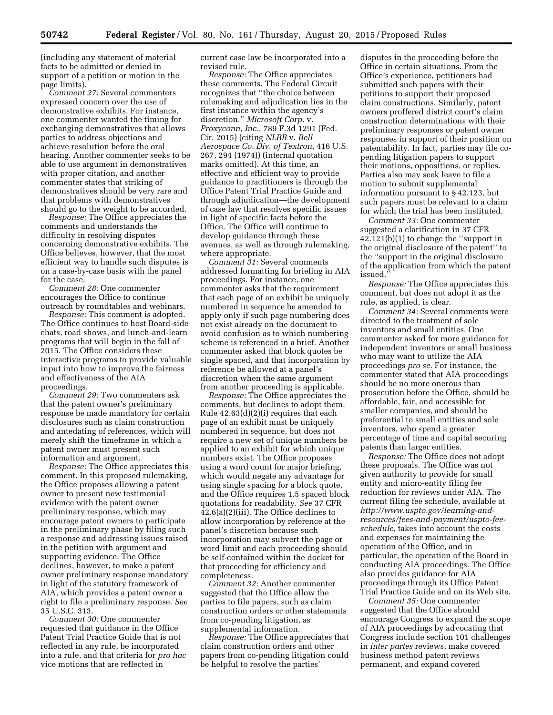(including any statement of material facts to be admitted or denied in support of a petition or motion in the page limits).

*Comment 27:* Several commenters expressed concern over the use of demonstrative exhibits. For instance, one commenter wanted the timing for exchanging demonstratives that allows parties to address objections and achieve resolution before the oral hearing. Another commenter seeks to be able to use argument in demonstratives with proper citation, and another commenter states that striking of demonstratives should be very rare and that problems with demonstratives should go to the weight to be accorded.

*Response:* The Office appreciates the comments and understands the difficulty in resolving disputes concerning demonstrative exhibits. The Office believes, however, that the most efficient way to handle such disputes is on a case-by-case basis with the panel for the case.

*Comment 28:* One commenter encourages the Office to continue outreach by roundtables and webinars.

*Response:* This comment is adopted. The Office continues to host Board-side chats, road shows, and lunch-and-learn programs that will begin in the fall of 2015. The Office considers these interactive programs to provide valuable input into how to improve the fairness and effectiveness of the AIA proceedings.

*Comment 29:* Two commenters ask that the patent owner's preliminary response be made mandatory for certain disclosures such as claim construction and antedating of references, which will merely shift the timeframe in which a patent owner must present such information and argument.

*Response:* The Office appreciates this comment. In this proposed rulemaking, the Office proposes allowing a patent owner to present new testimonial evidence with the patent owner preliminary response, which may encourage patent owners to participate in the preliminary phase by filing such a response and addressing issues raised in the petition with argument and supporting evidence. The Office declines, however, to make a patent owner preliminary response mandatory in light of the statutory framework of AIA, which provides a patent owner a right to file a preliminary response. *See*  35 U.S.C. 313.

*Comment 30:* One commenter requested that guidance in the Office Patent Trial Practice Guide that is not reflected in any rule, be incorporated into a rule, and that criteria for *pro hac*  vice motions that are reflected in

current case law be incorporated into a revised rule.

*Response:* The Office appreciates these comments. The Federal Circuit recognizes that ''the choice between rulemaking and adjudication lies in the first instance within the agency's discretion.'' *Microsoft Corp.* v. *Proxyconn, Inc.*, 789 F.3d 1291 (Fed. Cir. 2015) (citing *NLRB* v. *Bell Aerospace Co. Div. of Textron*, 416 U.S. 267, 294 (1974)) (internal quotation marks omitted). At this time, an effective and efficient way to provide guidance to practitioners is through the Office Patent Trial Practice Guide and through adjudication—the development of case law that resolves specific issues in light of specific facts before the Office. The Office will continue to develop guidance through these avenues, as well as through rulemaking, where appropriate.

*Comment 31:* Several comments addressed formatting for briefing in AIA proceedings. For instance, one commenter asks that the requirement that each page of an exhibit be uniquely numbered in sequence be amended to apply only if such page numbering does not exist already on the document to avoid confusion as to which numbering scheme is referenced in a brief. Another commenter asked that block quotes be single spaced, and that incorporation by reference be allowed at a panel's discretion when the same argument from another proceeding is applicable.

*Response:* The Office appreciates the comments, but declines to adopt them. Rule 42.63(d)(2)(i) requires that each page of an exhibit must be uniquely numbered in sequence, but does not require a new set of unique numbers be applied to an exhibit for which unique numbers exist. The Office proposes using a word count for major briefing, which would negate any advantage for using single spacing for a block quote, and the Office requires 1.5 spaced block quotations for readability. *See* 37 CFR 42.6(a)(2)(iii). The Office declines to allow incorporation by reference at the panel's discretion because such incorporation may subvert the page or word limit and each proceeding should be self-contained within the docket for that proceeding for efficiency and completeness.

*Comment 32:* Another commenter suggested that the Office allow the parties to file papers, such as claim construction orders or other statements from co-pending litigation, as supplemental information.

*Response:* The Office appreciates that claim construction orders and other papers from co-pending litigation could be helpful to resolve the parties'

disputes in the proceeding before the Office in certain situations. From the Office's experience, petitioners had submitted such papers with their petitions to support their proposed claim constructions. Similarly, patent owners proffered district court's claim construction determinations with their preliminary responses or patent owner responses in support of their position on patentability. In fact, parties may file copending litigation papers to support their motions, oppositions, or replies. Parties also may seek leave to file a motion to submit supplemental information pursuant to § 42.123, but such papers must be relevant to a claim for which the trial has been instituted.

*Comment 33:* One commenter suggested a clarification in 37 CFR 42.121(b)(1) to change the ''support in the original disclosure of the patent'' to the ''support in the original disclosure of the application from which the patent issued.''

*Response:* The Office appreciates this comment, but does not adopt it as the rule, as applied, is clear.

*Comment 34:* Several comments were directed to the treatment of sole inventors and small entities. One commenter asked for more guidance for independent inventors or small business who may want to utilize the AIA proceedings *pro se.* For instance, the commenter stated that AIA proceedings should be no more onerous than prosecution before the Office, should be affordable, fair, and accessible for smaller companies, and should be preferential to small entities and sole inventors, who spend a greater percentage of time and capital securing patents than larger entities.

*Response:* The Office does not adopt these proposals. The Office was not given authority to provide for small entity and micro-entity filing fee reduction for reviews under AIA. The current filing fee schedule, available at *http://www.uspto.gov/learning-and[resources/fees-and-payment/uspto-fee](http://www.uspto.gov/learning-and-resources/fees-and-payment/uspto-fee-schedule)[schedule,](http://www.uspto.gov/learning-and-resources/fees-and-payment/uspto-fee-schedule)* takes into account the costs and expenses for maintaining the operation of the Office, and in particular, the operation of the Board in conducting AIA proceedings. The Office also provides guidance for AIA proceedings through its Office Patent Trial Practice Guide and on its Web site.

*Comment 35:* One commenter suggested that the Office should encourage Congress to expand the scope of AIA proceedings by advocating that Congress include section 101 challenges in *inter partes* reviews, make covered business method patent reviews permanent, and expand covered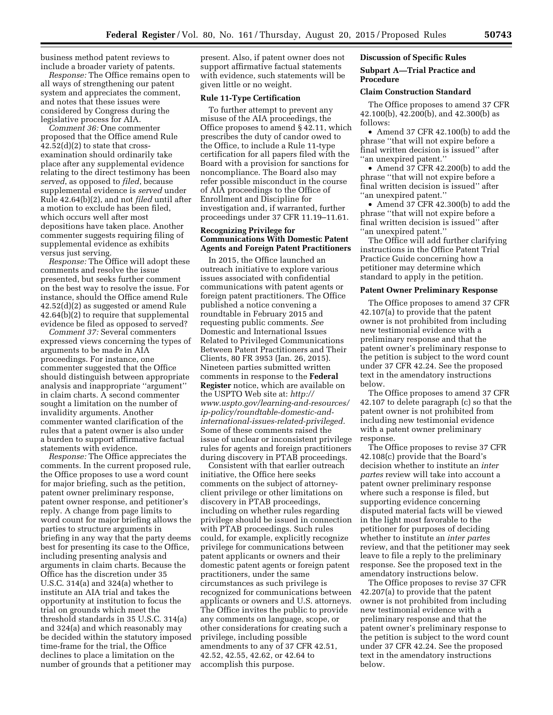business method patent reviews to include a broader variety of patents.

*Response:* The Office remains open to all ways of strengthening our patent system and appreciates the comment, and notes that these issues were considered by Congress during the legislative process for AIA.

*Comment 36:* One commenter proposed that the Office amend Rule  $42.52(d)(2)$  to state that crossexamination should ordinarily take place after any supplemental evidence relating to the direct testimony has been *served*, as opposed to *filed*, because supplemental evidence is *served* under Rule 42.64(b)(2), and not *filed* until after a motion to exclude has been filed, which occurs well after most depositions have taken place. Another commenter suggests requiring filing of supplemental evidence as exhibits versus just serving.

*Response:* The Office will adopt these comments and resolve the issue presented, but seeks further comment on the best way to resolve the issue. For instance, should the Office amend Rule 42.52(d)(2) as suggested or amend Rule 42.64(b)(2) to require that supplemental evidence be filed as opposed to served?

*Comment 37:* Several commenters expressed views concerning the types of arguments to be made in AIA proceedings. For instance, one commenter suggested that the Office should distinguish between appropriate analysis and inappropriate ''argument'' in claim charts. A second commenter sought a limitation on the number of invalidity arguments. Another commenter wanted clarification of the rules that a patent owner is also under a burden to support affirmative factual statements with evidence.

*Response:* The Office appreciates the comments. In the current proposed rule, the Office proposes to use a word count for major briefing, such as the petition, patent owner preliminary response, patent owner response, and petitioner's reply. A change from page limits to word count for major briefing allows the parties to structure arguments in briefing in any way that the party deems best for presenting its case to the Office, including presenting analysis and arguments in claim charts. Because the Office has the discretion under 35 U.S.C. 314(a) and 324(a) whether to institute an AIA trial and takes the opportunity at institution to focus the trial on grounds which meet the threshold standards in 35 U.S.C. 314(a) and 324(a) and which reasonably may be decided within the statutory imposed time-frame for the trial, the Office declines to place a limitation on the number of grounds that a petitioner may

present. Also, if patent owner does not support affirmative factual statements with evidence, such statements will be given little or no weight.

#### **Rule 11-Type Certification**

To further attempt to prevent any misuse of the AIA proceedings, the Office proposes to amend § 42.11, which prescribes the duty of candor owed to the Office, to include a Rule 11-type certification for all papers filed with the Board with a provision for sanctions for noncompliance. The Board also may refer possible misconduct in the course of AIA proceedings to the Office of Enrollment and Discipline for investigation and, if warranted, further proceedings under 37 CFR 11.19–11.61.

#### **Recognizing Privilege for Communications With Domestic Patent Agents and Foreign Patent Practitioners**

In 2015, the Office launched an outreach initiative to explore various issues associated with confidential communications with patent agents or foreign patent practitioners. The Office published a notice convening a roundtable in February 2015 and requesting public comments. *See*  Domestic and International Issues Related to Privileged Communications Between Patent Practitioners and Their Clients, 80 FR 3953 (Jan. 26, 2015). Nineteen parties submitted written comments in response to the **Federal Register** notice, which are available on the USPTO Web site at: *[http://](http://www.uspto.gov/learning-and-resources/ip-policy/roundtable-domestic-and-international-issues-related-privileged) [www.uspto.gov/learning-and-resources/](http://www.uspto.gov/learning-and-resources/ip-policy/roundtable-domestic-and-international-issues-related-privileged) [ip-policy/roundtable-domestic-and](http://www.uspto.gov/learning-and-resources/ip-policy/roundtable-domestic-and-international-issues-related-privileged)[international-issues-related-privileged.](http://www.uspto.gov/learning-and-resources/ip-policy/roundtable-domestic-and-international-issues-related-privileged)*  Some of these comments raised the issue of unclear or inconsistent privilege rules for agents and foreign practitioners during discovery in PTAB proceedings.

Consistent with that earlier outreach initiative, the Office here seeks comments on the subject of attorneyclient privilege or other limitations on discovery in PTAB proceedings, including on whether rules regarding privilege should be issued in connection with PTAB proceedings. Such rules could, for example, explicitly recognize privilege for communications between patent applicants or owners and their domestic patent agents or foreign patent practitioners, under the same circumstances as such privilege is recognized for communications between applicants or owners and U.S. attorneys. The Office invites the public to provide any comments on language, scope, or other considerations for creating such a privilege, including possible amendments to any of 37 CFR 42.51, 42.52, 42.55, 42.62, or 42.64 to accomplish this purpose.

# **Discussion of Specific Rules**

#### **Subpart A—Trial Practice and Procedure**

#### **Claim Construction Standard**

The Office proposes to amend 37 CFR 42.100(b), 42.200(b), and 42.300(b) as follows:

• Amend 37 CFR 42.100(b) to add the phrase ''that will not expire before a final written decision is issued'' after ''an unexpired patent.''

• Amend 37 CFR 42.200(b) to add the phrase ''that will not expire before a final written decision is issued'' after ''an unexpired patent.''

• Amend 37 CFR 42.300(b) to add the phrase ''that will not expire before a final written decision is issued'' after ''an unexpired patent.''

The Office will add further clarifying instructions in the Office Patent Trial Practice Guide concerning how a petitioner may determine which standard to apply in the petition.

#### **Patent Owner Preliminary Response**

The Office proposes to amend 37 CFR 42.107(a) to provide that the patent owner is not prohibited from including new testimonial evidence with a preliminary response and that the patent owner's preliminary response to the petition is subject to the word count under 37 CFR 42.24. See the proposed text in the amendatory instructions below.

The Office proposes to amend 37 CFR 42.107 to delete paragraph (c) so that the patent owner is not prohibited from including new testimonial evidence with a patent owner preliminary response.

The Office proposes to revise 37 CFR 42.108(c) provide that the Board's decision whether to institute an *inter partes* review will take into account a patent owner preliminary response where such a response is filed, but supporting evidence concerning disputed material facts will be viewed in the light most favorable to the petitioner for purposes of deciding whether to institute an *inter partes*  review, and that the petitioner may seek leave to file a reply to the preliminary response. See the proposed text in the amendatory instructions below.

The Office proposes to revise 37 CFR 42.207(a) to provide that the patent owner is not prohibited from including new testimonial evidence with a preliminary response and that the patent owner's preliminary response to the petition is subject to the word count under 37 CFR 42.24. See the proposed text in the amendatory instructions below.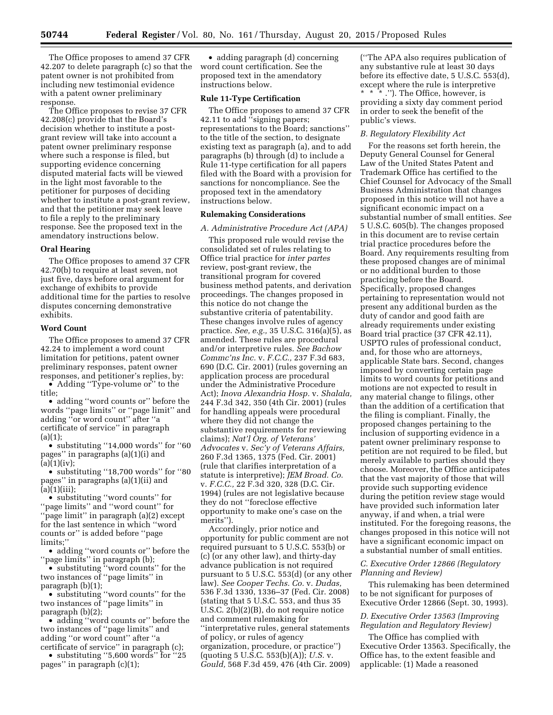The Office proposes to amend 37 CFR 42.207 to delete paragraph (c) so that the patent owner is not prohibited from including new testimonial evidence with a patent owner preliminary response.

The Office proposes to revise 37 CFR 42.208(c) provide that the Board's decision whether to institute a postgrant review will take into account a patent owner preliminary response where such a response is filed, but supporting evidence concerning disputed material facts will be viewed in the light most favorable to the petitioner for purposes of deciding whether to institute a post-grant review, and that the petitioner may seek leave to file a reply to the preliminary response. See the proposed text in the amendatory instructions below.

#### **Oral Hearing**

The Office proposes to amend 37 CFR 42.70(b) to require at least seven, not just five, days before oral argument for exchange of exhibits to provide additional time for the parties to resolve disputes concerning demonstrative exhibits.

#### **Word Count**

The Office proposes to amend 37 CFR 42.24 to implement a word count limitation for petitions, patent owner preliminary responses, patent owner responses, and petitioner's replies, by:

• Adding "Type-volume or" to the title;

• adding ''word counts or'' before the words ''page limits'' or ''page limit'' and adding ''or word count'' after ''a certificate of service'' in paragraph  $(a)(1);$ 

• substituting ''14,000 words'' for ''60 pages'' in paragraphs (a)(1)(i) and  $(a)(1)(iv);$ 

• substituting ''18,700 words'' for ''80 pages'' in paragraphs (a)(1)(ii) and  $(a)(1)(iii);$ 

• substituting ''word counts'' for ''page limits'' and ''word count'' for ''page limit'' in paragraph (a)(2) except for the last sentence in which ''word counts or'' is added before ''page limits;''

• adding ''word counts or'' before the ''page limits'' in paragraph (b);

• substituting ''word counts'' for the two instances of ''page limits'' in paragraph (b)(1);

• substituting ''word counts'' for the two instances of ''page limits'' in paragraph (b)(2);

• adding ''word counts or'' before the two instances of ''page limits'' and adding ''or word count'' after ''a certificate of service'' in paragraph (c);

• substituting "5,600 words" for "25 pages'' in paragraph (c)(1);

• adding paragraph (d) concerning word count certification. See the proposed text in the amendatory instructions below.

#### **Rule 11-Type Certification**

The Office proposes to amend 37 CFR 42.11 to add ''signing papers; representations to the Board; sanctions'' to the title of the section, to designate existing text as paragraph (a), and to add paragraphs (b) through (d) to include a Rule 11-type certification for all papers filed with the Board with a provision for sanctions for noncompliance. See the proposed text in the amendatory instructions below.

#### **Rulemaking Considerations**

#### *A. Administrative Procedure Act (APA)*

This proposed rule would revise the consolidated set of rules relating to Office trial practice for *inter partes*  review, post-grant review, the transitional program for covered business method patents, and derivation proceedings. The changes proposed in this notice do not change the substantive criteria of patentability. These changes involve rules of agency practice. *See, e.g.,* 35 U.S.C. 316(a)(5), as amended. These rules are procedural and/or interpretive rules. *See Bachow Commc'ns Inc.* v. *F.C.C.,* 237 F.3d 683, 690 (D.C. Cir. 2001) (rules governing an application process are procedural under the Administrative Procedure Act); *Inova Alexandria Hosp.* v. *Shalala,*  244 F.3d 342, 350 (4th Cir. 2001) (rules for handling appeals were procedural where they did not change the substantive requirements for reviewing claims); *Nat'l Org. of Veterans' Advocates* v. *Sec'y of Veterans Affairs,*  260 F.3d 1365, 1375 (Fed. Cir. 2001) (rule that clarifies interpretation of a statute is interpretive); *JEM Broad. Co.*  v. *F.C.C.,* 22 F.3d 320, 328 (D.C. Cir. 1994) (rules are not legislative because they do not ''foreclose effective opportunity to make one's case on the merits'').

Accordingly, prior notice and opportunity for public comment are not required pursuant to 5 U.S.C. 553(b) or (c) (or any other law), and thirty-day advance publication is not required pursuant to 5 U.S.C. 553(d) (or any other law). *See Cooper Techs. Co.* v. *Dudas,*  536 F.3d 1330, 1336–37 (Fed. Cir. 2008) (stating that 5 U.S.C. 553, and thus 35 U.S.C. 2(b)(2)(B), do not require notice and comment rulemaking for ''interpretative rules, general statements of policy, or rules of agency organization, procedure, or practice'') (quoting 5 U.S.C. 553(b)(A)); *U.S.* v. *Gould,* 568 F.3d 459, 476 (4th Cir. 2009)

(''The APA also requires publication of any substantive rule at least 30 days before its effective date, 5 U.S.C. 553(d), except where the rule is interpretive \* \* \* .''). The Office, however, is providing a sixty day comment period in order to seek the benefit of the public's views.

#### *B. Regulatory Flexibility Act*

For the reasons set forth herein, the Deputy General Counsel for General Law of the United States Patent and Trademark Office has certified to the Chief Counsel for Advocacy of the Small Business Administration that changes proposed in this notice will not have a significant economic impact on a substantial number of small entities. *See*  5 U.S.C. 605(b). The changes proposed in this document are to revise certain trial practice procedures before the Board. Any requirements resulting from these proposed changes are of minimal or no additional burden to those practicing before the Board. Specifically, proposed changes pertaining to representation would not present any additional burden as the duty of candor and good faith are already requirements under existing Board trial practice (37 CFR 42.11), USPTO rules of professional conduct, and, for those who are attorneys, applicable State bars. Second, changes imposed by converting certain page limits to word counts for petitions and motions are not expected to result in any material change to filings, other than the addition of a certification that the filing is compliant. Finally, the proposed changes pertaining to the inclusion of supporting evidence in a patent owner preliminary response to petition are not required to be filed, but merely available to parties should they choose. Moreover, the Office anticipates that the vast majority of those that will provide such supporting evidence during the petition review stage would have provided such information later anyway, if and when, a trial were instituted. For the foregoing reasons, the changes proposed in this notice will not have a significant economic impact on a substantial number of small entities.

#### *C. Executive Order 12866 (Regulatory Planning and Review)*

This rulemaking has been determined to be not significant for purposes of Executive Order 12866 (Sept. 30, 1993).

# *D. Executive Order 13563 (Improving Regulation and Regulatory Review)*

The Office has complied with Executive Order 13563. Specifically, the Office has, to the extent feasible and applicable: (1) Made a reasoned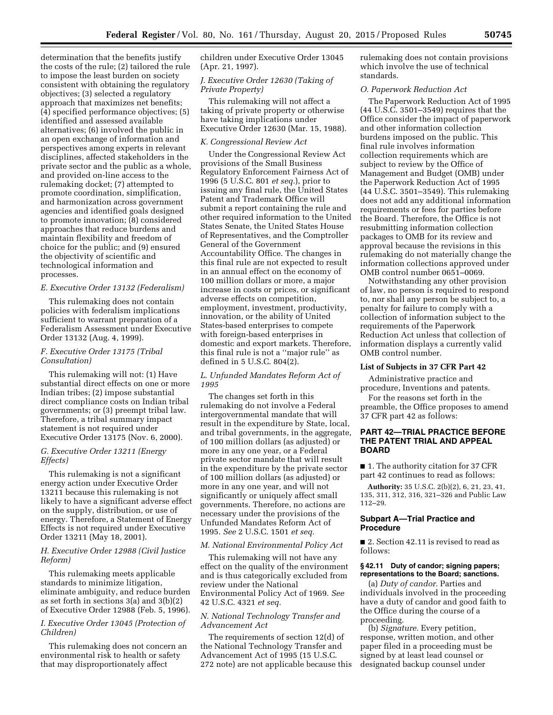determination that the benefits justify the costs of the rule; (2) tailored the rule to impose the least burden on society consistent with obtaining the regulatory objectives; (3) selected a regulatory approach that maximizes net benefits; (4) specified performance objectives; (5) identified and assessed available alternatives; (6) involved the public in an open exchange of information and perspectives among experts in relevant disciplines, affected stakeholders in the private sector and the public as a whole, and provided on-line access to the rulemaking docket; (7) attempted to promote coordination, simplification, and harmonization across government agencies and identified goals designed to promote innovation; (8) considered approaches that reduce burdens and maintain flexibility and freedom of choice for the public; and (9) ensured the objectivity of scientific and technological information and processes.

#### *E. Executive Order 13132 (Federalism)*

This rulemaking does not contain policies with federalism implications sufficient to warrant preparation of a Federalism Assessment under Executive Order 13132 (Aug. 4, 1999).

#### *F. Executive Order 13175 (Tribal Consultation)*

This rulemaking will not: (1) Have substantial direct effects on one or more Indian tribes; (2) impose substantial direct compliance costs on Indian tribal governments; or (3) preempt tribal law. Therefore, a tribal summary impact statement is not required under Executive Order 13175 (Nov. 6, 2000).

#### *G. Executive Order 13211 (Energy Effects)*

This rulemaking is not a significant energy action under Executive Order 13211 because this rulemaking is not likely to have a significant adverse effect on the supply, distribution, or use of energy. Therefore, a Statement of Energy Effects is not required under Executive Order 13211 (May 18, 2001).

#### *H. Executive Order 12988 (Civil Justice Reform)*

This rulemaking meets applicable standards to minimize litigation, eliminate ambiguity, and reduce burden as set forth in sections 3(a) and 3(b)(2) of Executive Order 12988 (Feb. 5, 1996).

#### *I. Executive Order 13045 (Protection of Children)*

This rulemaking does not concern an environmental risk to health or safety that may disproportionately affect

children under Executive Order 13045 (Apr. 21, 1997).

#### *J. Executive Order 12630 (Taking of Private Property)*

This rulemaking will not affect a taking of private property or otherwise have taking implications under Executive Order 12630 (Mar. 15, 1988).

#### *K. Congressional Review Act*

Under the Congressional Review Act provisions of the Small Business Regulatory Enforcement Fairness Act of 1996 (5 U.S.C. 801 *et seq.*), prior to issuing any final rule, the United States Patent and Trademark Office will submit a report containing the rule and other required information to the United States Senate, the United States House of Representatives, and the Comptroller General of the Government Accountability Office. The changes in this final rule are not expected to result in an annual effect on the economy of 100 million dollars or more, a major increase in costs or prices, or significant adverse effects on competition, employment, investment, productivity, innovation, or the ability of United States-based enterprises to compete with foreign-based enterprises in domestic and export markets. Therefore, this final rule is not a ''major rule'' as defined in 5 U.S.C. 804(2).

#### *L. Unfunded Mandates Reform Act of 1995*

The changes set forth in this rulemaking do not involve a Federal intergovernmental mandate that will result in the expenditure by State, local, and tribal governments, in the aggregate, of 100 million dollars (as adjusted) or more in any one year, or a Federal private sector mandate that will result in the expenditure by the private sector of 100 million dollars (as adjusted) or more in any one year, and will not significantly or uniquely affect small governments. Therefore, no actions are necessary under the provisions of the Unfunded Mandates Reform Act of 1995. *See* 2 U.S.C. 1501 *et seq.* 

#### *M. National Environmental Policy Act*

This rulemaking will not have any effect on the quality of the environment and is thus categorically excluded from review under the National Environmental Policy Act of 1969. *See*  42 U.S.C. 4321 *et seq.* 

#### *N. National Technology Transfer and Advancement Act*

The requirements of section 12(d) of the National Technology Transfer and Advancement Act of 1995 (15 U.S.C. 272 note) are not applicable because this rulemaking does not contain provisions which involve the use of technical standards.

#### *O. Paperwork Reduction Act*

The Paperwork Reduction Act of 1995 (44 U.S.C. 3501–3549) requires that the Office consider the impact of paperwork and other information collection burdens imposed on the public. This final rule involves information collection requirements which are subject to review by the Office of Management and Budget (OMB) under the Paperwork Reduction Act of 1995 (44 U.S.C. 3501–3549). This rulemaking does not add any additional information requirements or fees for parties before the Board. Therefore, the Office is not resubmitting information collection packages to OMB for its review and approval because the revisions in this rulemaking do not materially change the information collections approved under OMB control number 0651–0069.

Notwithstanding any other provision of law, no person is required to respond to, nor shall any person be subject to, a penalty for failure to comply with a collection of information subject to the requirements of the Paperwork Reduction Act unless that collection of information displays a currently valid OMB control number.

#### **List of Subjects in 37 CFR Part 42**

Administrative practice and procedure, Inventions and patents.

For the reasons set forth in the preamble, the Office proposes to amend 37 CFR part 42 as follows:

#### **PART 42—TRIAL PRACTICE BEFORE THE PATENT TRIAL AND APPEAL BOARD**

■ 1. The authority citation for 37 CFR part 42 continues to read as follows:

**Authority:** 35 U.S.C. 2(b)(2), 6, 21, 23, 41, 135, 311, 312, 316, 321–326 and Public Law 112–29.

#### **Subpart A—Trial Practice and Procedure**

■ 2. Section 42.11 is revised to read as follows:

#### **§ 42.11 Duty of candor; signing papers; representations to the Board; sanctions.**

(a) *Duty of candor.* Parties and individuals involved in the proceeding have a duty of candor and good faith to the Office during the course of a proceeding.

(b) *Signature.* Every petition, response, written motion, and other paper filed in a proceeding must be signed by at least lead counsel or designated backup counsel under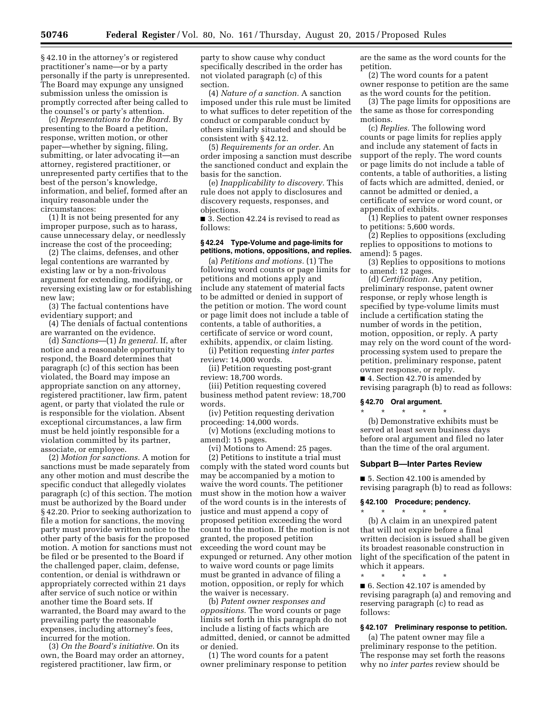§ 42.10 in the attorney's or registered practitioner's name—or by a party personally if the party is unrepresented. The Board may expunge any unsigned submission unless the omission is promptly corrected after being called to the counsel's or party's attention.

(c) *Representations to the Board.* By presenting to the Board a petition, response, written motion, or other paper—whether by signing, filing, submitting, or later advocating it—an attorney, registered practitioner, or unrepresented party certifies that to the best of the person's knowledge, information, and belief, formed after an inquiry reasonable under the circumstances:

(1) It is not being presented for any improper purpose, such as to harass, cause unnecessary delay, or needlessly increase the cost of the proceeding;

(2) The claims, defenses, and other legal contentions are warranted by existing law or by a non-frivolous argument for extending, modifying, or reversing existing law or for establishing new law;

(3) The factual contentions have evidentiary support; and

(4) The denials of factual contentions are warranted on the evidence.

(d) *Sanctions*—(1) *In general.* If, after notice and a reasonable opportunity to respond, the Board determines that paragraph (c) of this section has been violated, the Board may impose an appropriate sanction on any attorney, registered practitioner, law firm, patent agent, or party that violated the rule or is responsible for the violation. Absent exceptional circumstances, a law firm must be held jointly responsible for a violation committed by its partner, associate, or employee.

(2) *Motion for sanctions.* A motion for sanctions must be made separately from any other motion and must describe the specific conduct that allegedly violates paragraph (c) of this section. The motion must be authorized by the Board under § 42.20. Prior to seeking authorization to file a motion for sanctions, the moving party must provide written notice to the other party of the basis for the proposed motion. A motion for sanctions must not be filed or be presented to the Board if the challenged paper, claim, defense, contention, or denial is withdrawn or appropriately corrected within 21 days after service of such notice or within another time the Board sets. If warranted, the Board may award to the prevailing party the reasonable expenses, including attorney's fees, incurred for the motion.

(3) *On the Board's initiative.* On its own, the Board may order an attorney, registered practitioner, law firm, or

party to show cause why conduct specifically described in the order has not violated paragraph (c) of this section.

(4) *Nature of a sanction.* A sanction imposed under this rule must be limited to what suffices to deter repetition of the conduct or comparable conduct by others similarly situated and should be consistent with § 42.12.

(5) *Requirements for an order.* An order imposing a sanction must describe the sanctioned conduct and explain the basis for the sanction.

(e) *Inapplicability to discovery.* This rule does not apply to disclosures and discovery requests, responses, and objections.

■ 3. Section 42.24 is revised to read as follows:

#### **§ 42.24 Type-Volume and page-limits for petitions, motions, oppositions, and replies.**

(a) *Petitions and motions.* (1) The following word counts or page limits for petitions and motions apply and include any statement of material facts to be admitted or denied in support of the petition or motion. The word count or page limit does not include a table of contents, a table of authorities, a certificate of service or word count, exhibits, appendix, or claim listing.

(i) Petition requesting *inter partes*  review: 14,000 words.

(ii) Petition requesting post-grant review: 18,700 words.

(iii) Petition requesting covered business method patent review: 18,700 words.

(iv) Petition requesting derivation proceeding: 14,000 words.

(v) Motions (excluding motions to amend): 15 pages.

(vi) Motions to Amend: 25 pages.

(2) Petitions to institute a trial must comply with the stated word counts but may be accompanied by a motion to waive the word counts. The petitioner must show in the motion how a waiver of the word counts is in the interests of justice and must append a copy of proposed petition exceeding the word count to the motion. If the motion is not granted, the proposed petition exceeding the word count may be expunged or returned. Any other motion to waive word counts or page limits must be granted in advance of filing a motion, opposition, or reply for which the waiver is necessary.

(b) *Patent owner responses and oppositions.* The word counts or page limits set forth in this paragraph do not include a listing of facts which are admitted, denied, or cannot be admitted or denied.

(1) The word counts for a patent owner preliminary response to petition are the same as the word counts for the petition.

(2) The word counts for a patent owner response to petition are the same as the word counts for the petition.

(3) The page limits for oppositions are the same as those for corresponding motions.

(c) *Replies.* The following word counts or page limits for replies apply and include any statement of facts in support of the reply. The word counts or page limits do not include a table of contents, a table of authorities, a listing of facts which are admitted, denied, or cannot be admitted or denied, a certificate of service or word count, or appendix of exhibits.

(1) Replies to patent owner responses to petitions: 5,600 words.

(2) Replies to oppositions (excluding replies to oppositions to motions to amend): 5 pages.

(3) Replies to oppositions to motions to amend: 12 pages.

(d) *Certification.* Any petition, preliminary response, patent owner response, or reply whose length is specified by type-volume limits must include a certification stating the number of words in the petition, motion, opposition, or reply. A party may rely on the word count of the wordprocessing system used to prepare the petition, preliminary response, patent owner response, or reply.

■ 4. Section 42.70 is amended by revising paragraph (b) to read as follows:

# **§ 42.70 Oral argument.**

\* \* \* \* \* (b) Demonstrative exhibits must be served at least seven business days before oral argument and filed no later than the time of the oral argument.

#### **Subpart B—Inter Partes Review**

■ 5. Section 42.100 is amended by revising paragraph (b) to read as follows:

#### **§ 42.100 Procedure; pendency.**

\* \* \* \* \*

(b) A claim in an unexpired patent that will not expire before a final written decision is issued shall be given its broadest reasonable construction in light of the specification of the patent in which it appears.

\* \* \* \* \* ■ 6. Section 42.107 is amended by revising paragraph (a) and removing and reserving paragraph (c) to read as follows:

#### **§ 42.107 Preliminary response to petition.**

(a) The patent owner may file a preliminary response to the petition. The response may set forth the reasons why no *inter partes* review should be